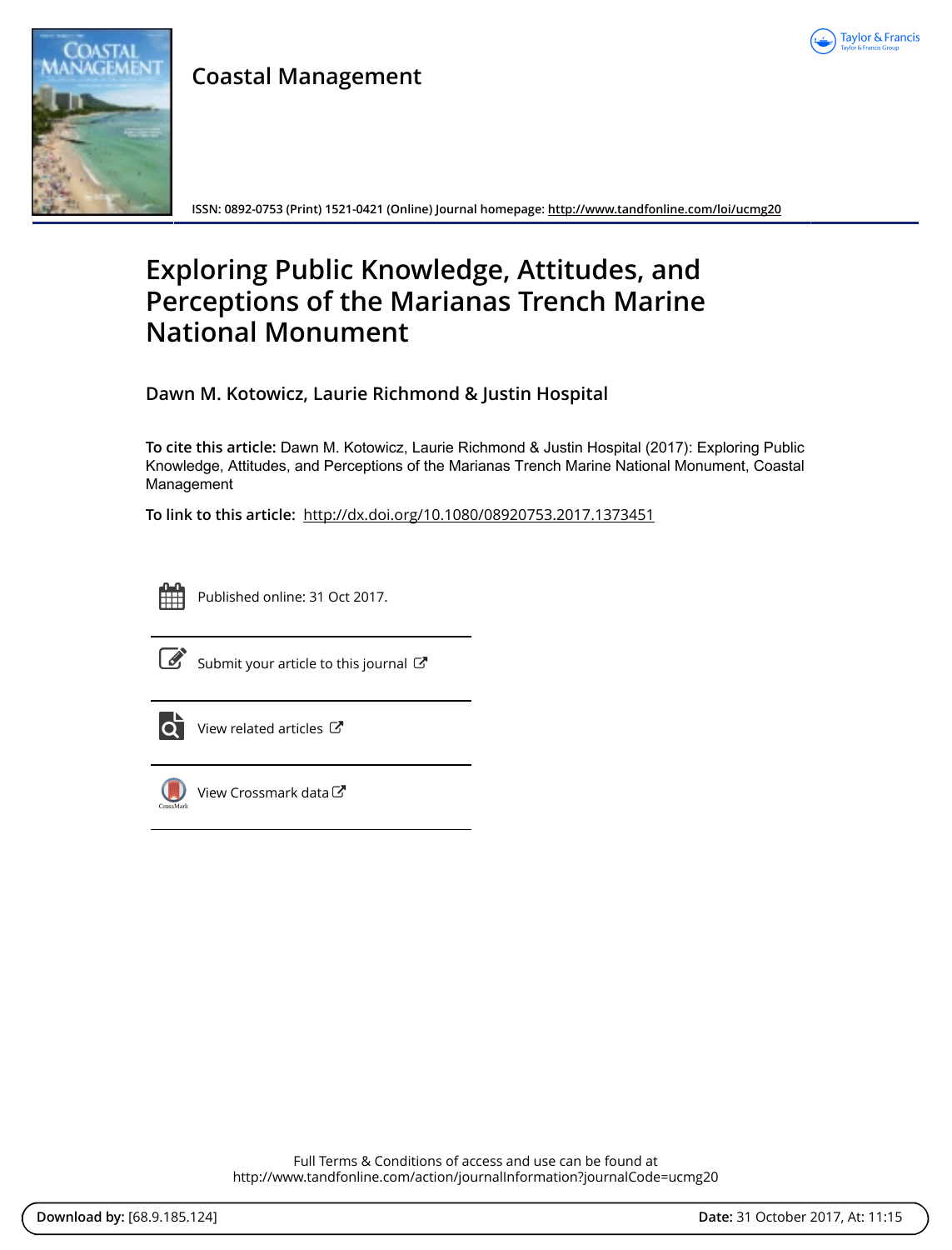

# **Coastal Management**



**ISSN: 0892-0753 (Print) 1521-0421 (Online) Journal homepage:<http://www.tandfonline.com/loi/ucmg20>**

# **Exploring Public Knowledge, Attitudes, and Perceptions of the Marianas Trench Marine National Monument**

**Dawn M. Kotowicz, Laurie Richmond & Justin Hospital**

**To cite this article:** Dawn M. Kotowicz, Laurie Richmond & Justin Hospital (2017): Exploring Public Knowledge, Attitudes, and Perceptions of the Marianas Trench Marine National Monument, Coastal Management

**To link to this article:** <http://dx.doi.org/10.1080/08920753.2017.1373451>



Published online: 31 Oct 2017.



 $\overrightarrow{S}$  [Submit your article to this journal](http://www.tandfonline.com/action/authorSubmission?journalCode=ucmg20&show=instructions)  $\overrightarrow{S}$ 



 $\overrightarrow{Q}$  [View related articles](http://www.tandfonline.com/doi/mlt/10.1080/08920753.2017.1373451)  $\overrightarrow{C}$ 



 $\bigcirc$  [View Crossmark data](http://crossmark.crossref.org/dialog/?doi=10.1080/08920753.2017.1373451&domain=pdf&date_stamp=2017-10-31) $\mathbb{Z}$ 

Full Terms & Conditions of access and use can be found at <http://www.tandfonline.com/action/journalInformation?journalCode=ucmg20>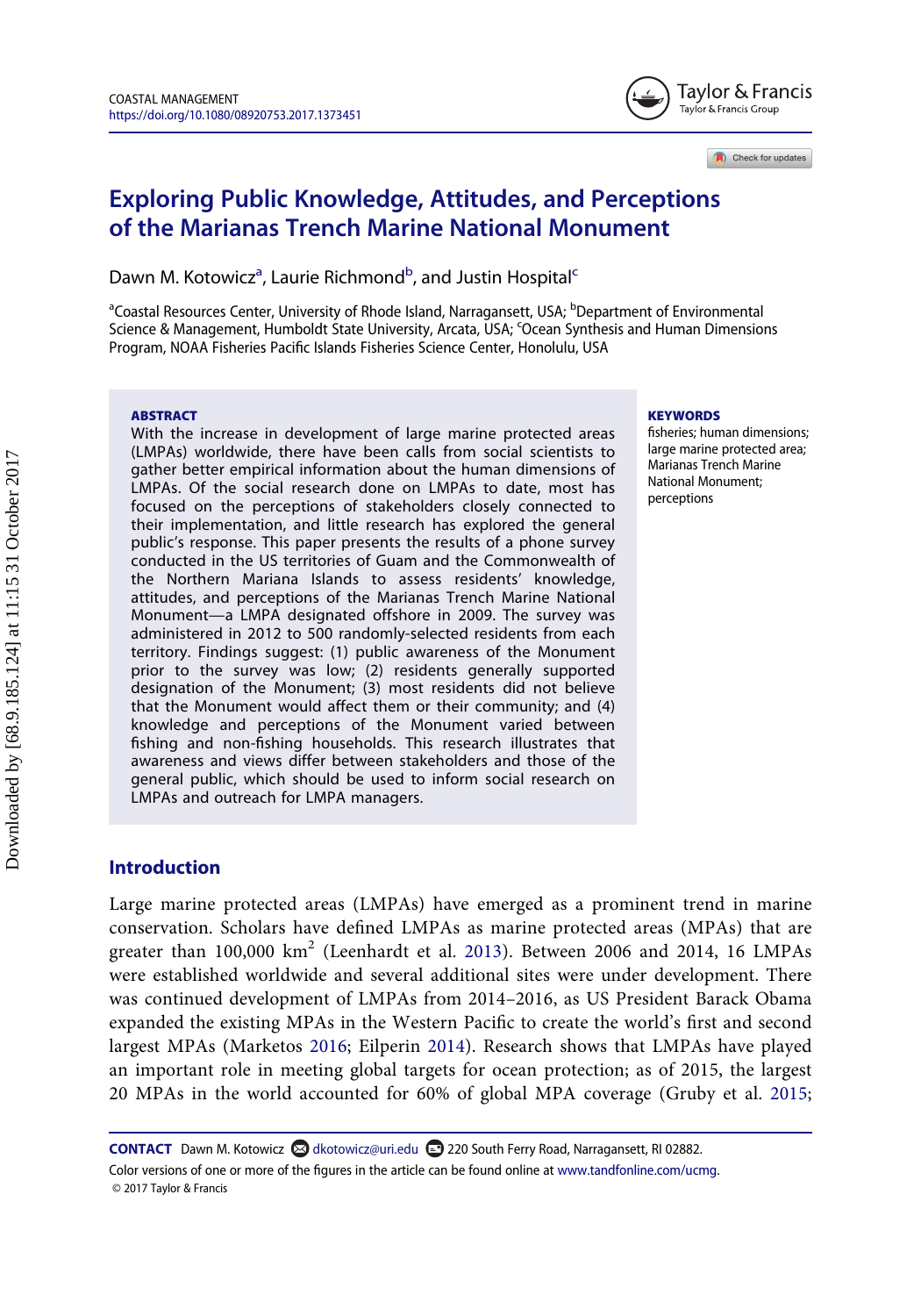

Check for updates

# Exploring Public Knowledge, Attitudes, and Perceptions of the Marianas Trench Marine National Monument

D[a](#page-1-0)wn M. Kotowicz<sup>a</sup>, Laurie Richmond<sup>[b](#page-1-0)</sup>, and Justin Hospital<sup>c</sup>

<span id="page-1-1"></span><span id="page-1-0"></span><sup>a</sup>Coastal Resources Center, University of Rhode Island, Narragansett, USA; <sup>b</sup>Department of Environmental Science & Management, Humboldt State University, Arcata, USA; <sup>c</sup>Ocean Synthesis and Human Dimensions Program, NOAA Fisheries Pacific Islands Fisheries Science Center, Honolulu, USA

### **ABSTRACT**

With the increase in development of large marine protected areas (LMPAs) worldwide, there have been calls from social scientists to gather better empirical information about the human dimensions of LMPAs. Of the social research done on LMPAs to date, most has focused on the perceptions of stakeholders closely connected to their implementation, and little research has explored the general public's response. This paper presents the results of a phone survey conducted in the US territories of Guam and the Commonwealth of the Northern Mariana Islands to assess residents' knowledge, attitudes, and perceptions of the Marianas Trench Marine National Monument—a LMPA designated offshore in 2009. The survey was administered in 2012 to 500 randomly-selected residents from each territory. Findings suggest: (1) public awareness of the Monument prior to the survey was low; (2) residents generally supported designation of the Monument; (3) most residents did not believe that the Monument would affect them or their community; and (4) knowledge and perceptions of the Monument varied between fishing and non-fishing households. This research illustrates that awareness and views differ between stakeholders and those of the general public, which should be used to inform social research on LMPAs and outreach for LMPA managers.

#### **KEYWORDS**

fisheries; human dimensions; large marine protected area; Marianas Trench Marine National Monument; perceptions

# Introduction

Large marine protected areas (LMPAs) have emerged as a prominent trend in marine conservation. Scholars have defined LMPAs as marine protected areas (MPAs) that are greater than  $100,000 \text{ km}^2$  (Leenhardt et al. [2013\)](#page-17-0). Between 2006 and 2014, 16 LMPAs were established worldwide and several additional sites were under development. There was continued development of LMPAs from 2014–2016, as US President Barack Obama expanded the existing MPAs in the Western Pacific to create the world's first and second largest MPAs (Marketos [2016;](#page-18-0) Eilperin [2014](#page-17-1)). Research shows that LMPAs have played an important role in meeting global targets for ocean protection; as of 2015, the largest 20 MPAs in the world accounted for 60% of global MPA coverage (Gruby et al. [2015;](#page-17-2)

CONTACT Dawn M. Kotowicz & [dkotowicz@uri.edu](mailto:dkotowicz@uri.edu) 220 South Ferry Road, Narragansett, RI 02882. Color versions of one or more of the figures in the article can be found online at [www.tandfonline.com/ucmg](http://www.tandfonline.com/ucmg). © 2017 Taylor & Francis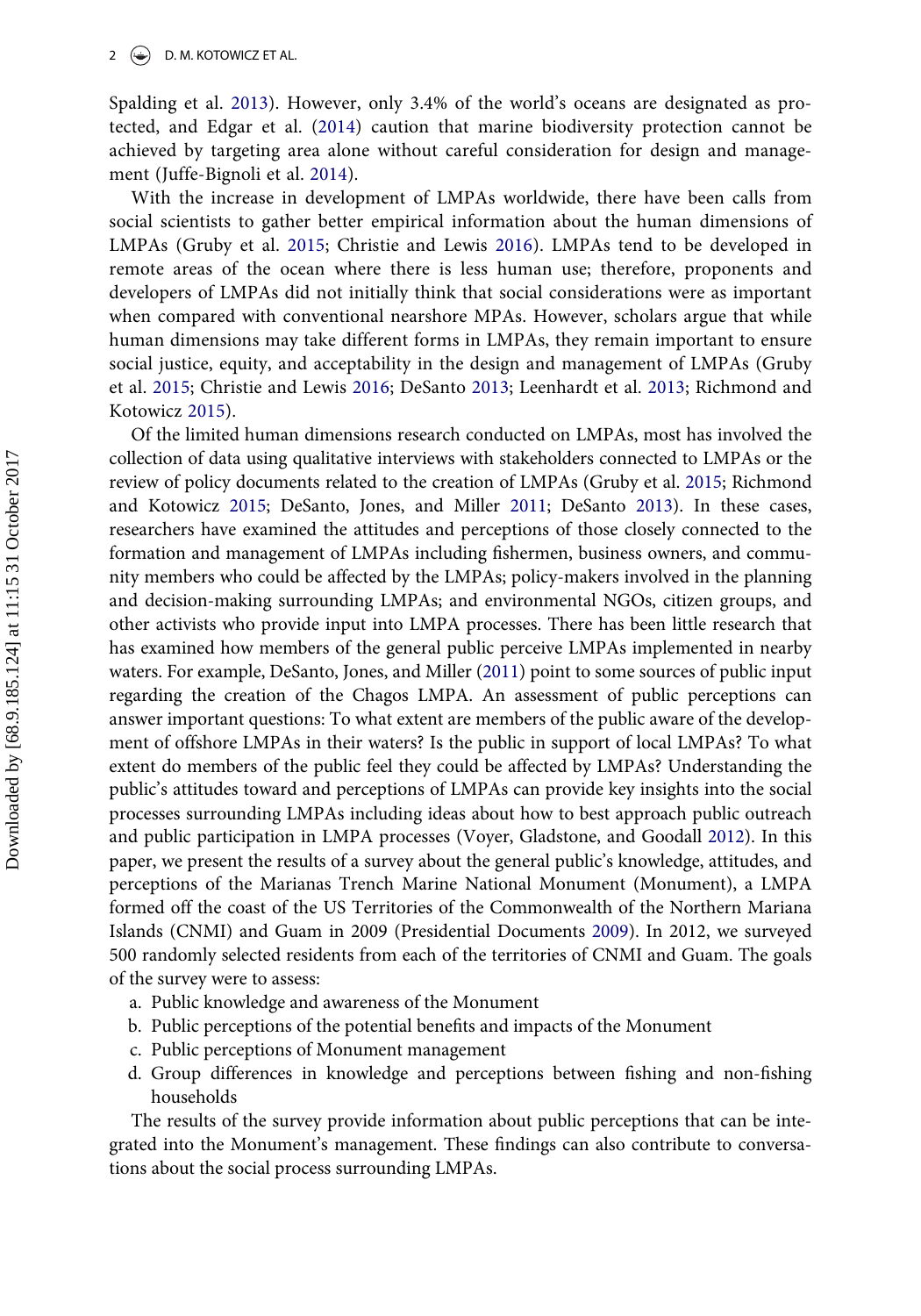Spalding et al. [2013\)](#page-18-1). However, only 3.4% of the world's oceans are designated as protected, and Edgar et al. [\(2014\)](#page-17-3) caution that marine biodiversity protection cannot be achieved by targeting area alone without careful consideration for design and management (Juffe-Bignoli et al. [2014](#page-17-4)).

With the increase in development of LMPAs worldwide, there have been calls from social scientists to gather better empirical information about the human dimensions of LMPAs (Gruby et al. [2015;](#page-17-2) Christie and Lewis [2016\)](#page-17-5). LMPAs tend to be developed in remote areas of the ocean where there is less human use; therefore, proponents and developers of LMPAs did not initially think that social considerations were as important when compared with conventional nearshore MPAs. However, scholars argue that while human dimensions may take different forms in LMPAs, they remain important to ensure social justice, equity, and acceptability in the design and management of LMPAs (Gruby et al. [2015](#page-17-2); Christie and Lewis [2016](#page-17-5); DeSanto [2013;](#page-17-6) Leenhardt et al. [2013;](#page-17-0) Richmond and Kotowicz [2015](#page-18-2)).

Of the limited human dimensions research conducted on LMPAs, most has involved the collection of data using qualitative interviews with stakeholders connected to LMPAs or the review of policy documents related to the creation of LMPAs (Gruby et al. [2015](#page-17-2); Richmond and Kotowicz [2015;](#page-18-2) DeSanto, Jones, and Miller [2011](#page-17-7); DeSanto [2013](#page-17-6)). In these cases, researchers have examined the attitudes and perceptions of those closely connected to the formation and management of LMPAs including fishermen, business owners, and community members who could be affected by the LMPAs; policy-makers involved in the planning and decision-making surrounding LMPAs; and environmental NGOs, citizen groups, and other activists who provide input into LMPA processes. There has been little research that has examined how members of the general public perceive LMPAs implemented in nearby waters. For example, DeSanto, Jones, and Miller [\(2011](#page-17-7)) point to some sources of public input regarding the creation of the Chagos LMPA. An assessment of public perceptions can answer important questions: To what extent are members of the public aware of the development of offshore LMPAs in their waters? Is the public in support of local LMPAs? To what extent do members of the public feel they could be affected by LMPAs? Understanding the public's attitudes toward and perceptions of LMPAs can provide key insights into the social processes surrounding LMPAs including ideas about how to best approach public outreach and public participation in LMPA processes (Voyer, Gladstone, and Goodall [2012](#page-18-3)). In this paper, we present the results of a survey about the general public's knowledge, attitudes, and perceptions of the Marianas Trench Marine National Monument (Monument), a LMPA formed off the coast of the US Territories of the Commonwealth of the Northern Mariana Islands (CNMI) and Guam in 2009 (Presidential Documents [2009\)](#page-18-4). In 2012, we surveyed 500 randomly selected residents from each of the territories of CNMI and Guam. The goals of the survey were to assess:

- a. Public knowledge and awareness of the Monument
- b. Public perceptions of the potential benefits and impacts of the Monument
- c. Public perceptions of Monument management
- d. Group differences in knowledge and perceptions between fishing and non-fishing households

The results of the survey provide information about public perceptions that can be integrated into the Monument's management. These findings can also contribute to conversations about the social process surrounding LMPAs.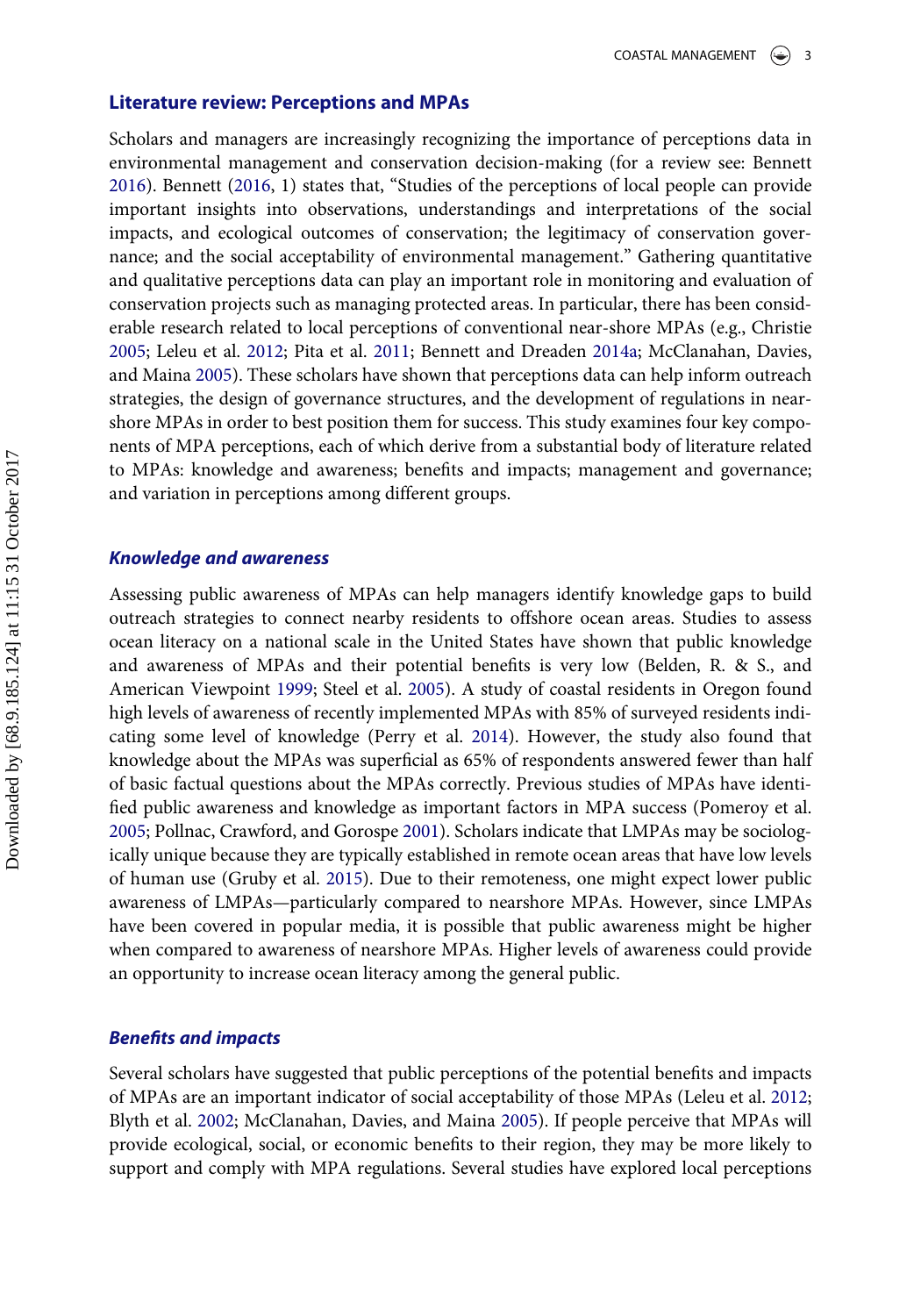# Literature review: Perceptions and MPAs

Scholars and managers are increasingly recognizing the importance of perceptions data in environmental management and conservation decision-making (for a review see: Bennett [2016\)](#page-16-0). Bennett [\(2016](#page-16-0), 1) states that, "Studies of the perceptions of local people can provide important insights into observations, understandings and interpretations of the social impacts, and ecological outcomes of conservation; the legitimacy of conservation governance; and the social acceptability of environmental management." Gathering quantitative and qualitative perceptions data can play an important role in monitoring and evaluation of conservation projects such as managing protected areas. In particular, there has been considerable research related to local perceptions of conventional near-shore MPAs (e.g., Christie [2005;](#page-17-8) Leleu et al. [2012](#page-17-9); Pita et al. [2011](#page-18-5); Bennett and Dreaden [2014a;](#page-17-10) McClanahan, Davies, and Maina [2005\)](#page-18-6). These scholars have shown that perceptions data can help inform outreach strategies, the design of governance structures, and the development of regulations in nearshore MPAs in order to best position them for success. This study examines four key components of MPA perceptions, each of which derive from a substantial body of literature related to MPAs: knowledge and awareness; benefits and impacts; management and governance; and variation in perceptions among different groups.

# Knowledge and awareness

Assessing public awareness of MPAs can help managers identify knowledge gaps to build outreach strategies to connect nearby residents to offshore ocean areas. Studies to assess ocean literacy on a national scale in the United States have shown that public knowledge and awareness of MPAs and their potential benefits is very low (Belden, R. & S., and American Viewpoint [1999](#page-16-1); Steel et al. [2005](#page-18-7)). A study of coastal residents in Oregon found high levels of awareness of recently implemented MPAs with 85% of surveyed residents indicating some level of knowledge (Perry et al. [2014](#page-18-8)). However, the study also found that knowledge about the MPAs was superficial as 65% of respondents answered fewer than half of basic factual questions about the MPAs correctly. Previous studies of MPAs have identified public awareness and knowledge as important factors in MPA success (Pomeroy et al. [2005;](#page-18-9) Pollnac, Crawford, and Gorospe [2001](#page-18-10)). Scholars indicate that LMPAs may be sociologically unique because they are typically established in remote ocean areas that have low levels of human use (Gruby et al. [2015](#page-17-2)). Due to their remoteness, one might expect lower public awareness of LMPAs—particularly compared to nearshore MPAs. However, since LMPAs have been covered in popular media, it is possible that public awareness might be higher when compared to awareness of nearshore MPAs. Higher levels of awareness could provide an opportunity to increase ocean literacy among the general public.

# Benefits and impacts

Several scholars have suggested that public perceptions of the potential benefits and impacts of MPAs are an important indicator of social acceptability of those MPAs (Leleu et al. [2012;](#page-17-9) Blyth et al. [2002](#page-17-11); McClanahan, Davies, and Maina [2005](#page-18-6)). If people perceive that MPAs will provide ecological, social, or economic benefits to their region, they may be more likely to support and comply with MPA regulations. Several studies have explored local perceptions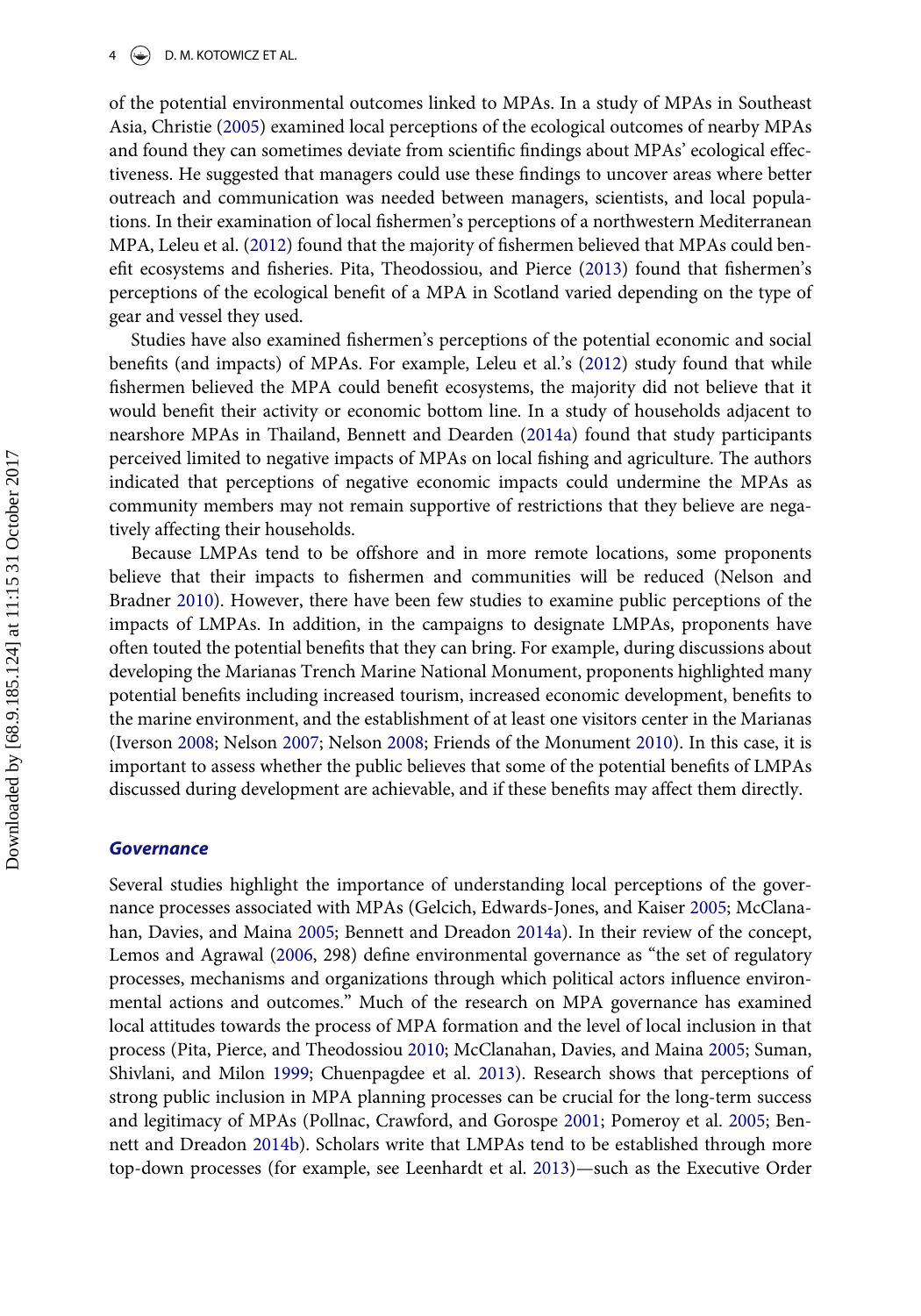# $4 \quad (*)$  D. M. KOTOWICZ ET AL.

of the potential environmental outcomes linked to MPAs. In a study of MPAs in Southeast Asia, Christie [\(2005](#page-17-8)) examined local perceptions of the ecological outcomes of nearby MPAs and found they can sometimes deviate from scientific findings about MPAs' ecological effectiveness. He suggested that managers could use these findings to uncover areas where better outreach and communication was needed between managers, scientists, and local populations. In their examination of local fishermen's perceptions of a northwestern Mediterranean MPA, Leleu et al. ([2012\)](#page-17-9) found that the majority of fishermen believed that MPAs could benefit ecosystems and fisheries. Pita, Theodossiou, and Pierce [\(2013](#page-18-11)) found that fishermen's perceptions of the ecological benefit of a MPA in Scotland varied depending on the type of gear and vessel they used.

Studies have also examined fishermen's perceptions of the potential economic and social benefits (and impacts) of MPAs. For example, Leleu et al.'s [\(2012](#page-17-9)) study found that while fishermen believed the MPA could benefit ecosystems, the majority did not believe that it would benefit their activity or economic bottom line. In a study of households adjacent to nearshore MPAs in Thailand, Bennett and Dearden [\(2014a\)](#page-17-10) found that study participants perceived limited to negative impacts of MPAs on local fishing and agriculture. The authors indicated that perceptions of negative economic impacts could undermine the MPAs as community members may not remain supportive of restrictions that they believe are negatively affecting their households.

Because LMPAs tend to be offshore and in more remote locations, some proponents believe that their impacts to fishermen and communities will be reduced (Nelson and Bradner [2010\)](#page-18-12). However, there have been few studies to examine public perceptions of the impacts of LMPAs. In addition, in the campaigns to designate LMPAs, proponents have often touted the potential benefits that they can bring. For example, during discussions about developing the Marianas Trench Marine National Monument, proponents highlighted many potential benefits including increased tourism, increased economic development, benefits to the marine environment, and the establishment of at least one visitors center in the Marianas (Iverson [2008](#page-17-12); Nelson [2007;](#page-18-13) Nelson [2008;](#page-18-14) Friends of the Monument [2010](#page-17-13)). In this case, it is important to assess whether the public believes that some of the potential benefits of LMPAs discussed during development are achievable, and if these benefits may affect them directly.

# Governance

Several studies highlight the importance of understanding local perceptions of the governance processes associated with MPAs (Gelcich, Edwards-Jones, and Kaiser [2005;](#page-17-14) McClanahan, Davies, and Maina [2005](#page-18-6); Bennett and Dreadon [2014a](#page-17-10)). In their review of the concept, Lemos and Agrawal [\(2006](#page-18-15), 298) define environmental governance as "the set of regulatory processes, mechanisms and organizations through which political actors influence environmental actions and outcomes." Much of the research on MPA governance has examined local attitudes towards the process of MPA formation and the level of local inclusion in that process (Pita, Pierce, and Theodossiou [2010](#page-18-16); McClanahan, Davies, and Maina [2005;](#page-18-6) Suman, Shivlani, and Milon [1999](#page-18-17); Chuenpagdee et al. [2013\)](#page-17-15). Research shows that perceptions of strong public inclusion in MPA planning processes can be crucial for the long-term success and legitimacy of MPAs (Pollnac, Crawford, and Gorospe [2001;](#page-18-10) Pomeroy et al. [2005;](#page-18-9) Bennett and Dreadon [2014b\)](#page-17-16). Scholars write that LMPAs tend to be established through more top-down processes (for example, see Leenhardt et al. [2013\)](#page-17-0)—such as the Executive Order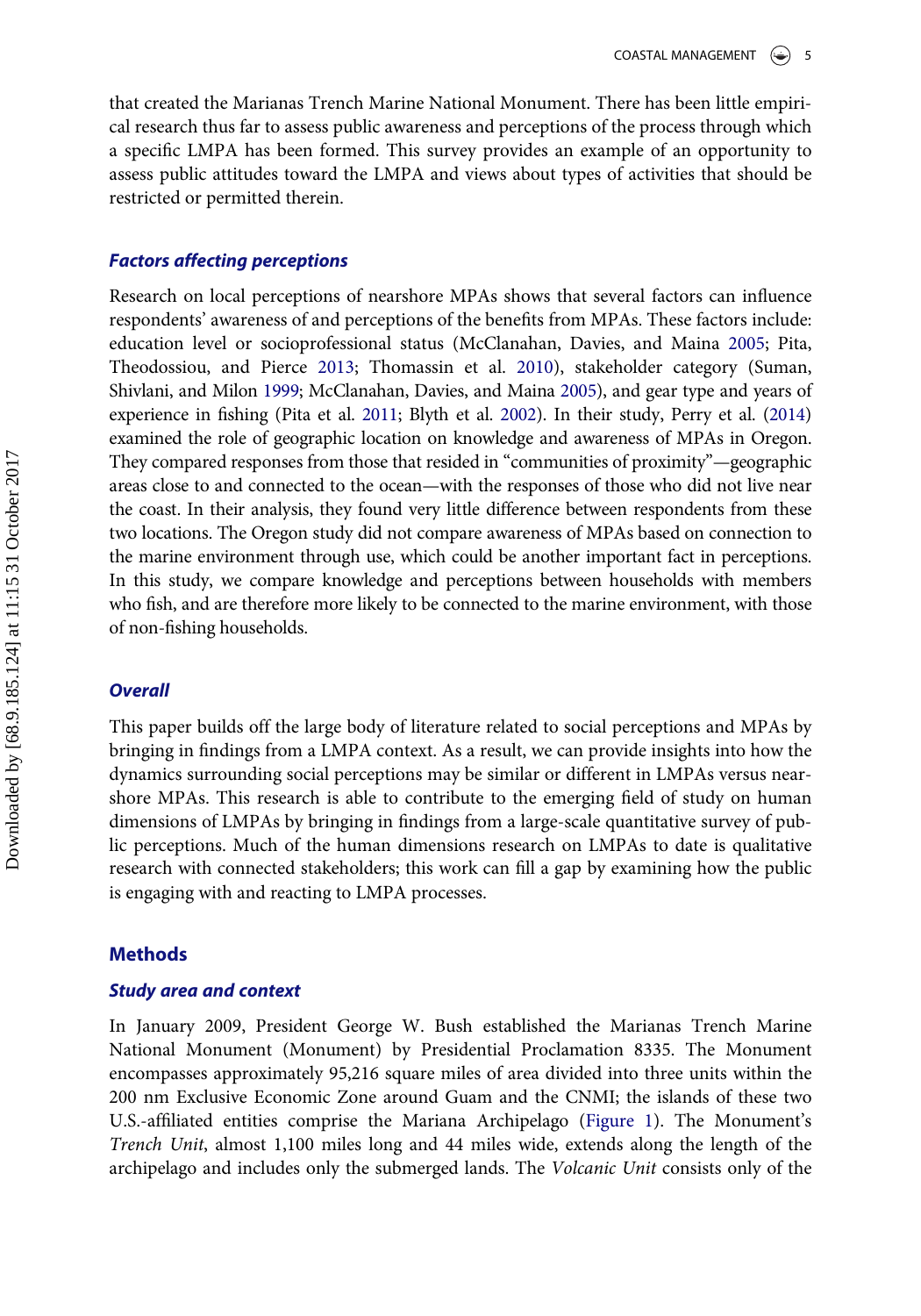that created the Marianas Trench Marine National Monument. There has been little empirical research thus far to assess public awareness and perceptions of the process through which a specific LMPA has been formed. This survey provides an example of an opportunity to assess public attitudes toward the LMPA and views about types of activities that should be restricted or permitted therein.

# Factors affecting perceptions

Research on local perceptions of nearshore MPAs shows that several factors can influence respondents' awareness of and perceptions of the benefits from MPAs. These factors include: education level or socioprofessional status (McClanahan, Davies, and Maina [2005;](#page-18-6) Pita, Theodossiou, and Pierce [2013;](#page-18-11) Thomassin et al. [2010\)](#page-18-18), stakeholder category (Suman, Shivlani, and Milon [1999;](#page-18-17) McClanahan, Davies, and Maina [2005](#page-18-6)), and gear type and years of experience in fishing (Pita et al. [2011;](#page-18-5) Blyth et al. [2002](#page-17-11)). In their study, Perry et al. [\(2014\)](#page-18-8) examined the role of geographic location on knowledge and awareness of MPAs in Oregon. They compared responses from those that resided in "communities of proximity"—geographic areas close to and connected to the ocean—with the responses of those who did not live near the coast. In their analysis, they found very little difference between respondents from these two locations. The Oregon study did not compare awareness of MPAs based on connection to the marine environment through use, which could be another important fact in perceptions. In this study, we compare knowledge and perceptions between households with members who fish, and are therefore more likely to be connected to the marine environment, with those of non-fishing households.

# **Overall**

This paper builds off the large body of literature related to social perceptions and MPAs by bringing in findings from a LMPA context. As a result, we can provide insights into how the dynamics surrounding social perceptions may be similar or different in LMPAs versus nearshore MPAs. This research is able to contribute to the emerging field of study on human dimensions of LMPAs by bringing in findings from a large-scale quantitative survey of public perceptions. Much of the human dimensions research on LMPAs to date is qualitative research with connected stakeholders; this work can fill a gap by examining how the public is engaging with and reacting to LMPA processes.

# **Methods**

# Study area and context

In January 2009, President George W. Bush established the Marianas Trench Marine National Monument (Monument) by Presidential Proclamation 8335. The Monument encompasses approximately 95,216 square miles of area divided into three units within the 200 nm Exclusive Economic Zone around Guam and the CNMI; the islands of these two U.S.-affiliated entities comprise the Mariana Archipelago [\(Figure 1\)](#page-6-0). The Monument's Trench Unit, almost 1,100 miles long and 44 miles wide, extends along the length of the archipelago and includes only the submerged lands. The Volcanic Unit consists only of the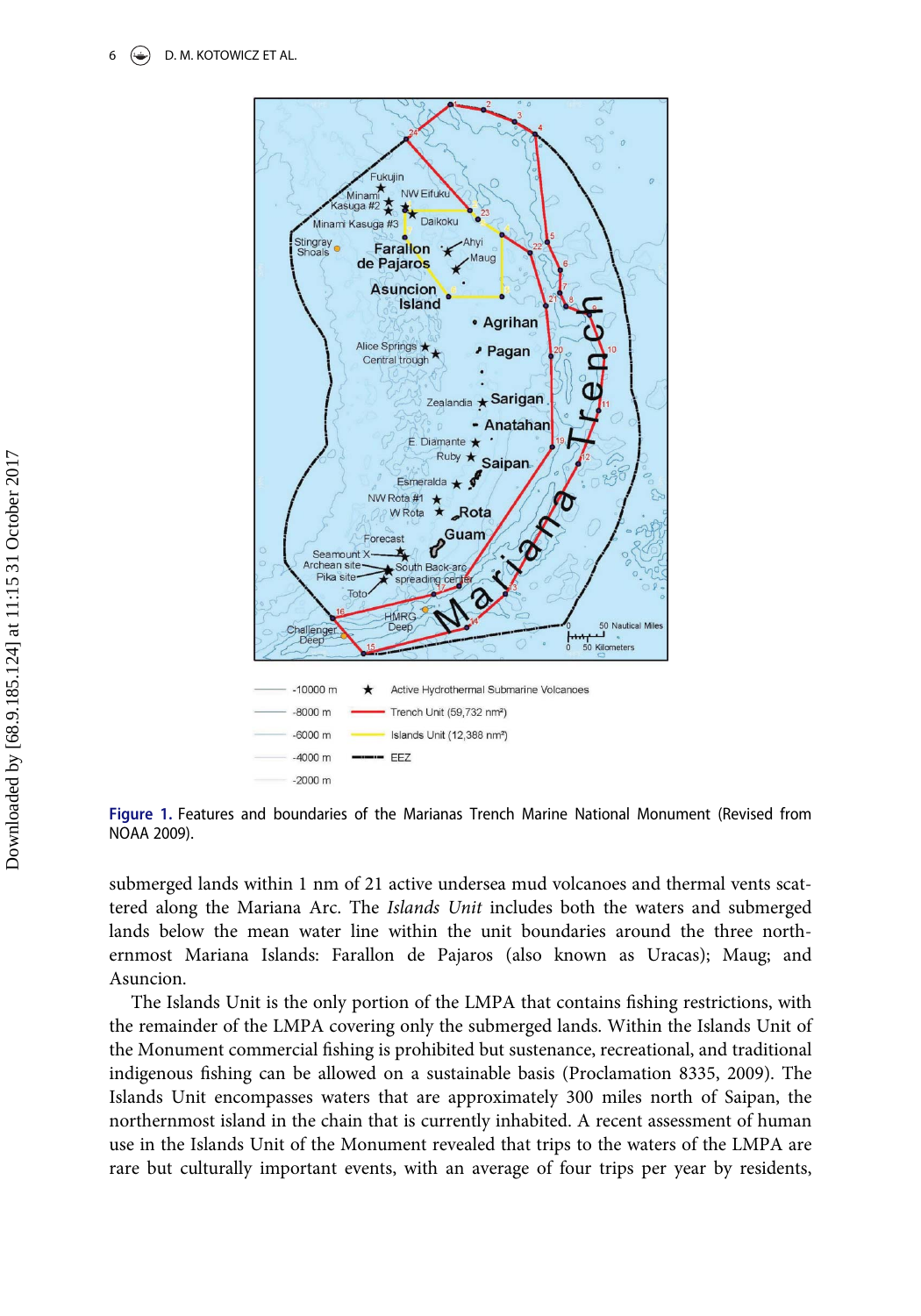# <span id="page-6-0"></span>6  $\left(\bigstar\right)$  D. M. KOTOWICZ ET AL.



Figure 1. Features and boundaries of the Marianas Trench Marine National Monument (Revised from NOAA 2009).

submerged lands within 1 nm of 21 active undersea mud volcanoes and thermal vents scattered along the Mariana Arc. The Islands Unit includes both the waters and submerged lands below the mean water line within the unit boundaries around the three northernmost Mariana Islands: Farallon de Pajaros (also known as Uracas); Maug; and Asuncion.

The Islands Unit is the only portion of the LMPA that contains fishing restrictions, with the remainder of the LMPA covering only the submerged lands. Within the Islands Unit of the Monument commercial fishing is prohibited but sustenance, recreational, and traditional indigenous fishing can be allowed on a sustainable basis (Proclamation 8335, 2009). The Islands Unit encompasses waters that are approximately 300 miles north of Saipan, the northernmost island in the chain that is currently inhabited. A recent assessment of human use in the Islands Unit of the Monument revealed that trips to the waters of the LMPA are rare but culturally important events, with an average of four trips per year by residents,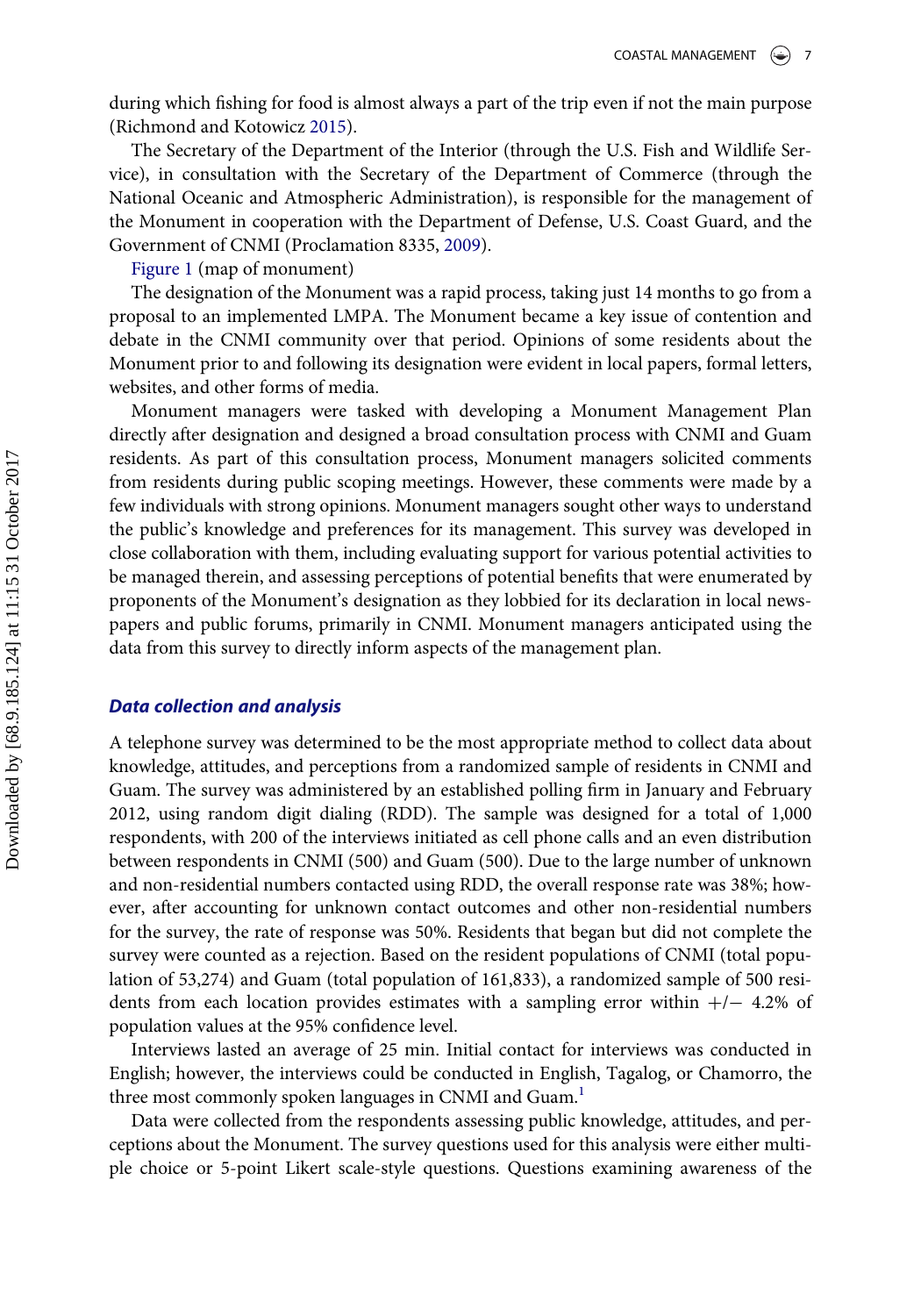during which fishing for food is almost always a part of the trip even if not the main purpose (Richmond and Kotowicz [2015\)](#page-18-2).

The Secretary of the Department of the Interior (through the U.S. Fish and Wildlife Service), in consultation with the Secretary of the Department of Commerce (through the National Oceanic and Atmospheric Administration), is responsible for the management of the Monument in cooperation with the Department of Defense, U.S. Coast Guard, and the Government of CNMI (Proclamation 8335, [2009](#page-18-4)).

[Figure 1](#page-6-0) (map of monument)

The designation of the Monument was a rapid process, taking just 14 months to go from a proposal to an implemented LMPA. The Monument became a key issue of contention and debate in the CNMI community over that period. Opinions of some residents about the Monument prior to and following its designation were evident in local papers, formal letters, websites, and other forms of media.

Monument managers were tasked with developing a Monument Management Plan directly after designation and designed a broad consultation process with CNMI and Guam residents. As part of this consultation process, Monument managers solicited comments from residents during public scoping meetings. However, these comments were made by a few individuals with strong opinions. Monument managers sought other ways to understand the public's knowledge and preferences for its management. This survey was developed in close collaboration with them, including evaluating support for various potential activities to be managed therein, and assessing perceptions of potential benefits that were enumerated by proponents of the Monument's designation as they lobbied for its declaration in local newspapers and public forums, primarily in CNMI. Monument managers anticipated using the data from this survey to directly inform aspects of the management plan.

# Data collection and analysis

A telephone survey was determined to be the most appropriate method to collect data about knowledge, attitudes, and perceptions from a randomized sample of residents in CNMI and Guam. The survey was administered by an established polling firm in January and February 2012, using random digit dialing (RDD). The sample was designed for a total of 1,000 respondents, with 200 of the interviews initiated as cell phone calls and an even distribution between respondents in CNMI (500) and Guam (500). Due to the large number of unknown and non-residential numbers contacted using RDD, the overall response rate was 38%; however, after accounting for unknown contact outcomes and other non-residential numbers for the survey, the rate of response was 50%. Residents that began but did not complete the survey were counted as a rejection. Based on the resident populations of CNMI (total population of 53,274) and Guam (total population of 161,833), a randomized sample of 500 residents from each location provides estimates with a sampling error within  $+/- 4.2\%$  of population values at the 95% confidence level.

Interviews lasted an average of 25 min. Initial contact for interviews was conducted in English; however, the interviews could be conducted in English, Tagalog, or Chamorro, the three most commonly spoken languages in CNMI and Guam.<sup>1</sup>

Data were collected from the respondents assessing public knowledge, attitudes, and perceptions about the Monument. The survey questions used for this analysis were either multiple choice or 5-point Likert scale-style questions. Questions examining awareness of the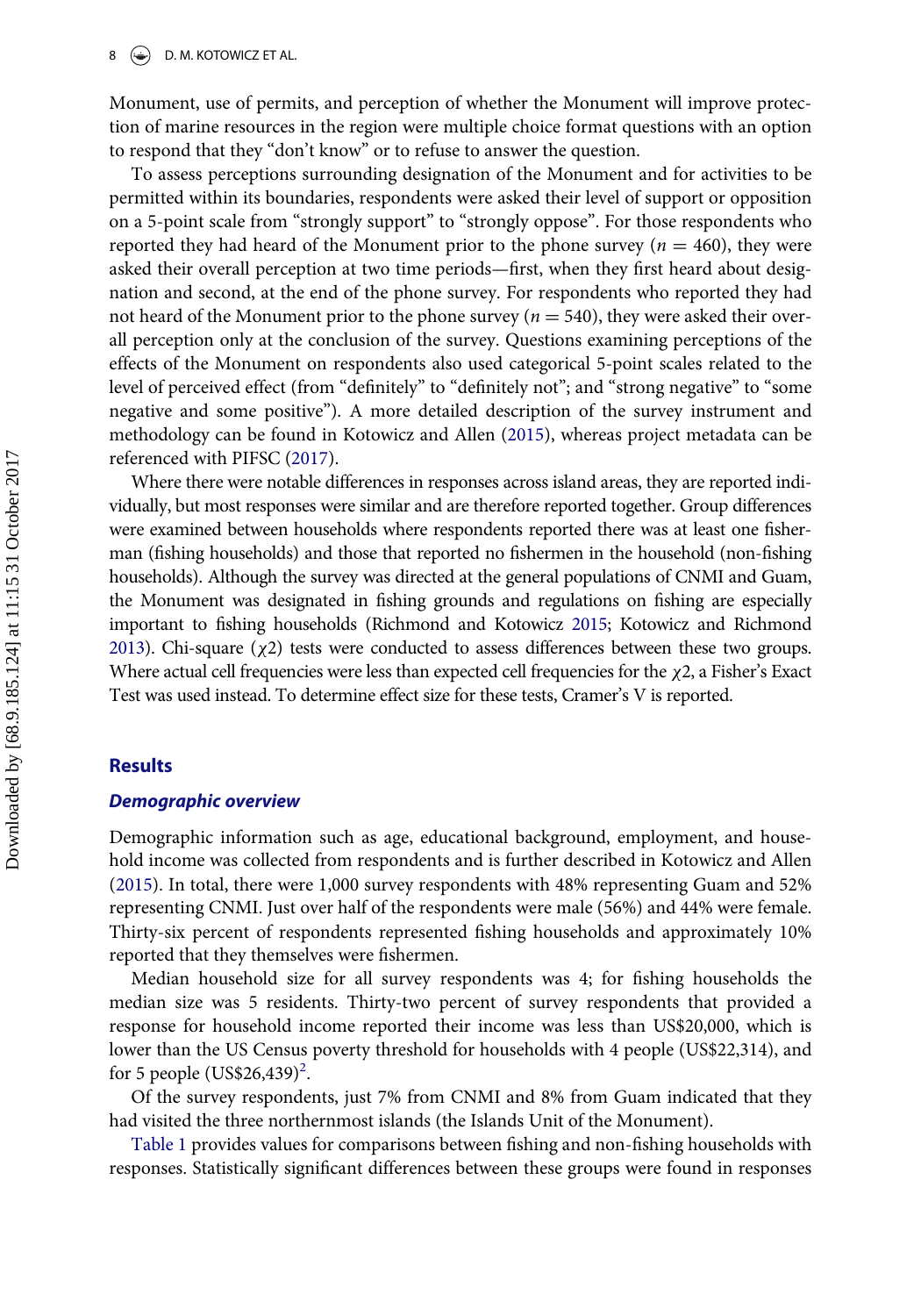8  $\left(\frac{1}{2}\right)$  D. M. KOTOWICZ ET AL.

Monument, use of permits, and perception of whether the Monument will improve protection of marine resources in the region were multiple choice format questions with an option to respond that they "don't know" or to refuse to answer the question.

To assess perceptions surrounding designation of the Monument and for activities to be permitted within its boundaries, respondents were asked their level of support or opposition on a 5-point scale from "strongly support" to "strongly oppose". For those respondents who reported they had heard of the Monument prior to the phone survey ( $n = 460$ ), they were asked their overall perception at two time periods—first, when they first heard about designation and second, at the end of the phone survey. For respondents who reported they had not heard of the Monument prior to the phone survey ( $n = 540$ ), they were asked their overall perception only at the conclusion of the survey. Questions examining perceptions of the effects of the Monument on respondents also used categorical 5-point scales related to the level of perceived effect (from "definitely" to "definitely not"; and "strong negative" to "some negative and some positive"). A more detailed description of the survey instrument and methodology can be found in Kotowicz and Allen ([2015\)](#page-17-17), whereas project metadata can be referenced with PIFSC [\(2017\)](#page-18-19).

Where there were notable differences in responses across island areas, they are reported individually, but most responses were similar and are therefore reported together. Group differences were examined between households where respondents reported there was at least one fisherman (fishing households) and those that reported no fishermen in the household (non-fishing households). Although the survey was directed at the general populations of CNMI and Guam, the Monument was designated in fishing grounds and regulations on fishing are especially important to fishing households (Richmond and Kotowicz [2015](#page-18-2); Kotowicz and Richmond [2013](#page-17-18)). Chi-square  $(\chi^2)$  tests were conducted to assess differences between these two groups. Where actual cell frequencies were less than expected cell frequencies for the  $\chi$ 2, a Fisher's Exact Test was used instead. To determine effect size for these tests, Cramer's V is reported.

# **Results**

# Demographic overview

Demographic information such as age, educational background, employment, and household income was collected from respondents and is further described in Kotowicz and Allen [\(2015](#page-17-17)). In total, there were 1,000 survey respondents with 48% representing Guam and 52% representing CNMI. Just over half of the respondents were male (56%) and 44% were female. Thirty-six percent of respondents represented fishing households and approximately 10% reported that they themselves were fishermen.

Median household size for all survey respondents was 4; for fishing households the median size was 5 residents. Thirty-two percent of survey respondents that provided a response for household income reported their income was less than US\$20,000, which is lower than the US Census poverty threshold for households with 4 people (US\$22,314), and for 5 people  $(US$26,439)<sup>2</sup>$  $(US$26,439)<sup>2</sup>$  $(US$26,439)<sup>2</sup>$ .

Of the survey respondents, just 7% from CNMI and 8% from Guam indicated that they had visited the three northernmost islands (the Islands Unit of the Monument).

[Table 1](#page-9-0) provides values for comparisons between fishing and non-fishing households with responses. Statistically significant differences between these groups were found in responses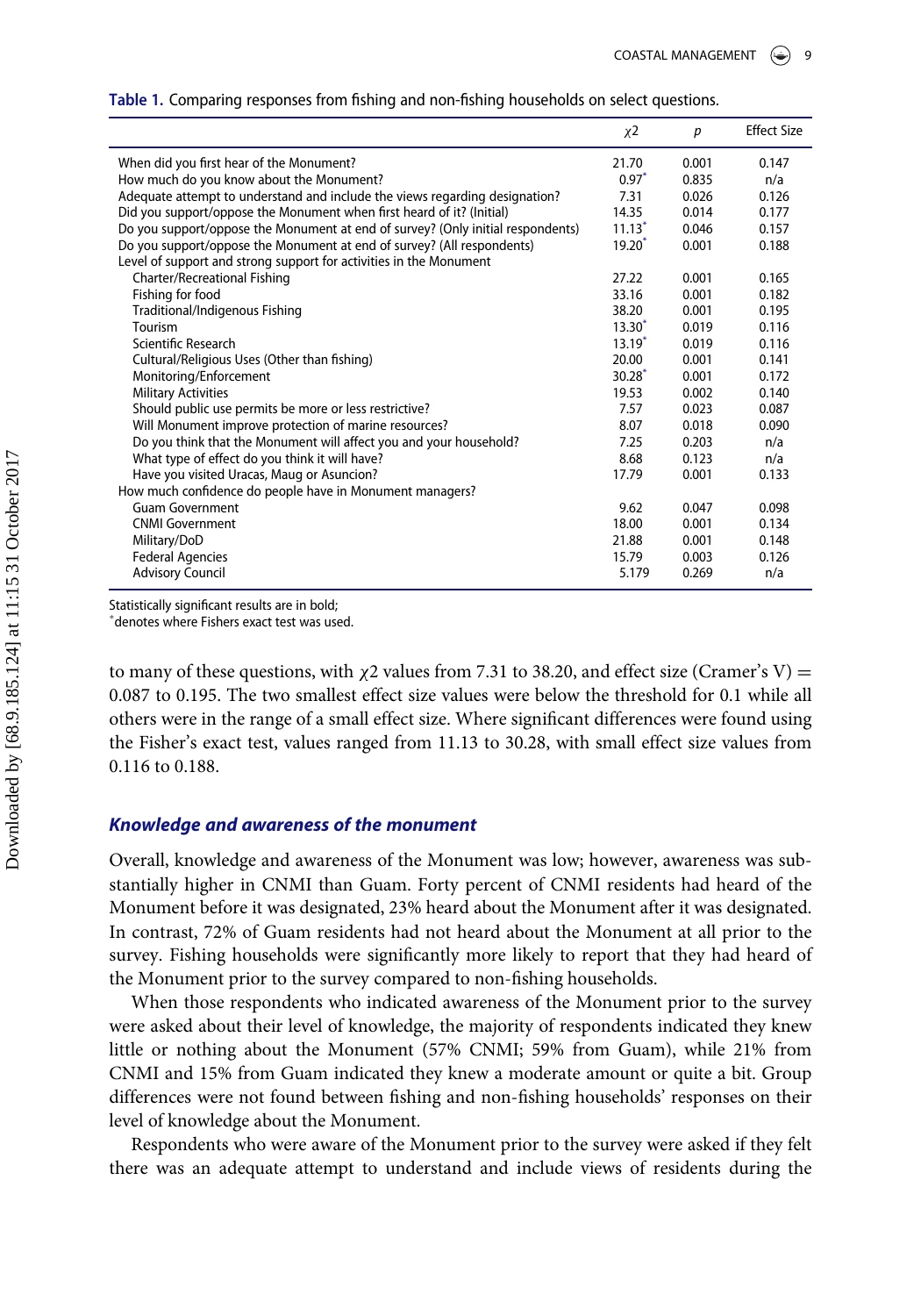|                                                                                 | $x^2$                | $\boldsymbol{p}$ | <b>Effect Size</b> |
|---------------------------------------------------------------------------------|----------------------|------------------|--------------------|
| When did you first hear of the Monument?                                        | 21.70                | 0.001            | 0.147              |
| How much do you know about the Monument?                                        | $0.97*$              | 0.835            | n/a                |
| Adequate attempt to understand and include the views regarding designation?     | 7.31                 | 0.026            | 0.126              |
| Did you support/oppose the Monument when first heard of it? (Initial)           | 14.35                | 0.014            | 0.177              |
| Do you support/oppose the Monument at end of survey? (Only initial respondents) | $11.13^*$            | 0.046            | 0.157              |
| Do you support/oppose the Monument at end of survey? (All respondents)          | $19.20^*$            | 0.001            | 0.188              |
| Level of support and strong support for activities in the Monument              |                      |                  |                    |
| Charter/Recreational Fishing                                                    | 27.22                | 0.001            | 0.165              |
| Fishing for food                                                                | 33.16                | 0.001            | 0.182              |
| Traditional/Indigenous Fishing                                                  | 38.20                | 0.001            | 0.195              |
| Tourism                                                                         | $13.30*$             | 0.019            | 0.116              |
| Scientific Research                                                             | $13.19*$             | 0.019            | 0.116              |
| Cultural/Religious Uses (Other than fishing)                                    | 20.00                | 0.001            | 0.141              |
| Monitoring/Enforcement                                                          | $30.28$ <sup>*</sup> | 0.001            | 0.172              |
| <b>Military Activities</b>                                                      | 19.53                | 0.002            | 0.140              |
| Should public use permits be more or less restrictive?                          | 7.57                 | 0.023            | 0.087              |
| Will Monument improve protection of marine resources?                           | 8.07                 | 0.018            | 0.090              |
| Do you think that the Monument will affect you and your household?              | 7.25                 | 0.203            | n/a                |
| What type of effect do you think it will have?                                  | 8.68                 | 0.123            | n/a                |
| Have you visited Uracas, Maug or Asuncion?                                      | 17.79                | 0.001            | 0.133              |
| How much confidence do people have in Monument managers?                        |                      |                  |                    |
| Guam Government                                                                 | 9.62                 | 0.047            | 0.098              |
| <b>CNMI Government</b>                                                          | 18.00                | 0.001            | 0.134              |
| Military/DoD                                                                    | 21.88                | 0.001            | 0.148              |
| <b>Federal Agencies</b>                                                         | 15.79                | 0.003            | 0.126              |
| <b>Advisory Council</b>                                                         | 5.179                | 0.269            | n/a                |

<span id="page-9-0"></span>Table 1. Comparing responses from fishing and non-fishing households on select questions.

<span id="page-9-1"></span>Statistically significant results are in bold;

denotes where Fishers exact test was used.

to many of these questions, with  $\chi$ 2 values from 7.31 to 38.20, and effect size (Cramer's V) = 0.087 to 0.195. The two smallest effect size values were below the threshold for 0.1 while all others were in the range of a small effect size. Where significant differences were found using the Fisher's exact test, values ranged from 11.13 to 30.28, with small effect size values from 0.116 to 0.188.

# Knowledge and awareness of the monument

Overall, knowledge and awareness of the Monument was low; however, awareness was substantially higher in CNMI than Guam. Forty percent of CNMI residents had heard of the Monument before it was designated, 23% heard about the Monument after it was designated. In contrast, 72% of Guam residents had not heard about the Monument at all prior to the survey. Fishing households were significantly more likely to report that they had heard of the Monument prior to the survey compared to non-fishing households.

When those respondents who indicated awareness of the Monument prior to the survey were asked about their level of knowledge, the majority of respondents indicated they knew little or nothing about the Monument (57% CNMI; 59% from Guam), while 21% from CNMI and 15% from Guam indicated they knew a moderate amount or quite a bit. Group differences were not found between fishing and non-fishing households' responses on their level of knowledge about the Monument.

Respondents who were aware of the Monument prior to the survey were asked if they felt there was an adequate attempt to understand and include views of residents during the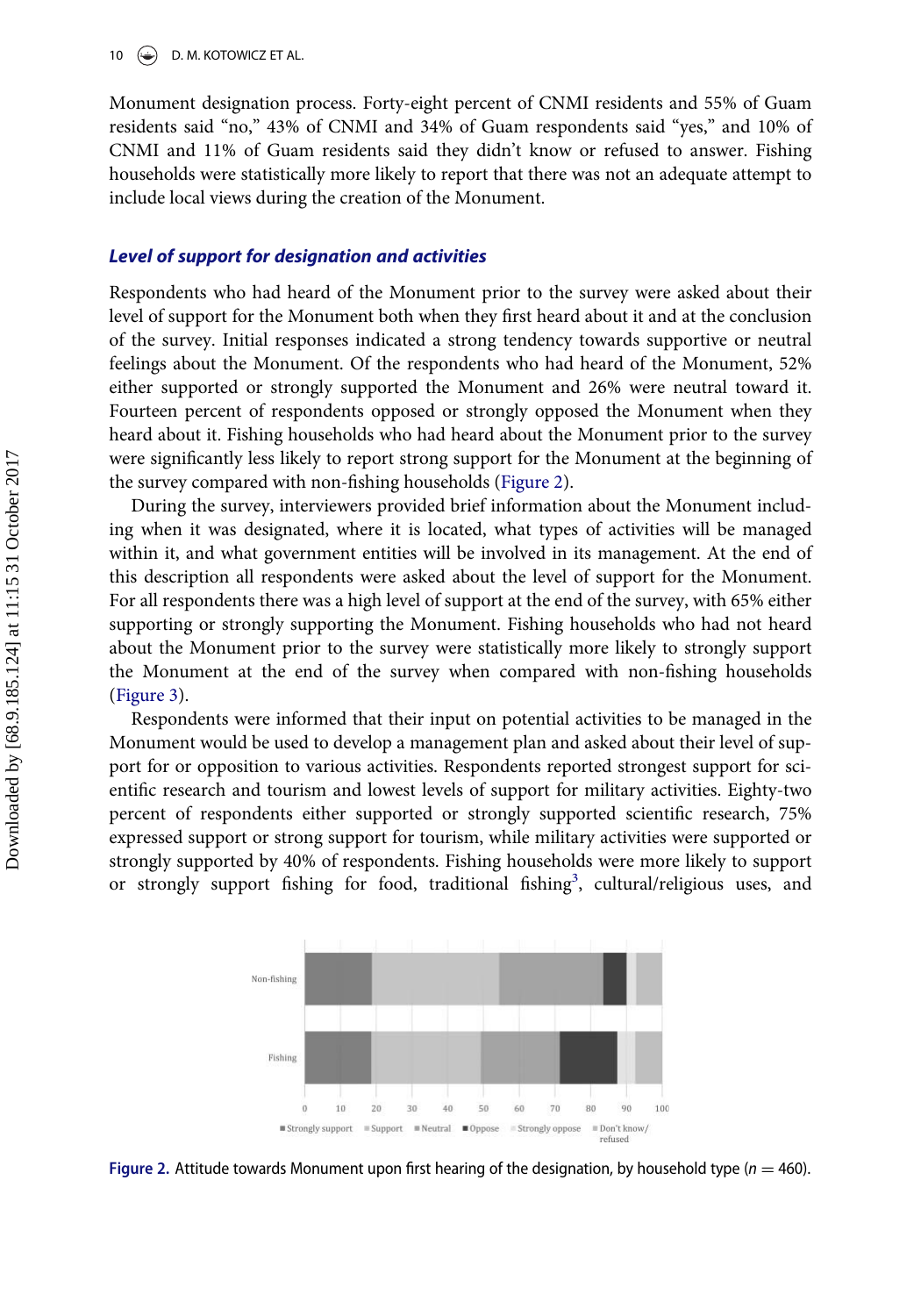Monument designation process. Forty-eight percent of CNMI residents and 55% of Guam residents said "no," 43% of CNMI and 34% of Guam respondents said "yes," and 10% of CNMI and 11% of Guam residents said they didn't know or refused to answer. Fishing households were statistically more likely to report that there was not an adequate attempt to include local views during the creation of the Monument.

# Level of support for designation and activities

Respondents who had heard of the Monument prior to the survey were asked about their level of support for the Monument both when they first heard about it and at the conclusion of the survey. Initial responses indicated a strong tendency towards supportive or neutral feelings about the Monument. Of the respondents who had heard of the Monument, 52% either supported or strongly supported the Monument and 26% were neutral toward it. Fourteen percent of respondents opposed or strongly opposed the Monument when they heard about it. Fishing households who had heard about the Monument prior to the survey were significantly less likely to report strong support for the Monument at the beginning of the survey compared with non-fishing households [\(Figure 2](#page-10-0)).

During the survey, interviewers provided brief information about the Monument including when it was designated, where it is located, what types of activities will be managed within it, and what government entities will be involved in its management. At the end of this description all respondents were asked about the level of support for the Monument. For all respondents there was a high level of support at the end of the survey, with 65% either supporting or strongly supporting the Monument. Fishing households who had not heard about the Monument prior to the survey were statistically more likely to strongly support the Monument at the end of the survey when compared with non-fishing households [\(Figure 3](#page-11-0)).

Respondents were informed that their input on potential activities to be managed in the Monument would be used to develop a management plan and asked about their level of support for or opposition to various activities. Respondents reported strongest support for scientific research and tourism and lowest levels of support for military activities. Eighty-two percent of respondents either supported or strongly supported scientific research, 75% expressed support or strong support for tourism, while military activities were supported or strongly supported by 40% of respondents. Fishing households were more likely to support or strongly support fishing for food, traditional fishing<sup>[3](#page-16-4)</sup>, cultural/religious uses, and

<span id="page-10-0"></span>

Figure 2. Attitude towards Monument upon first hearing of the designation, by household type ( $n = 460$ ).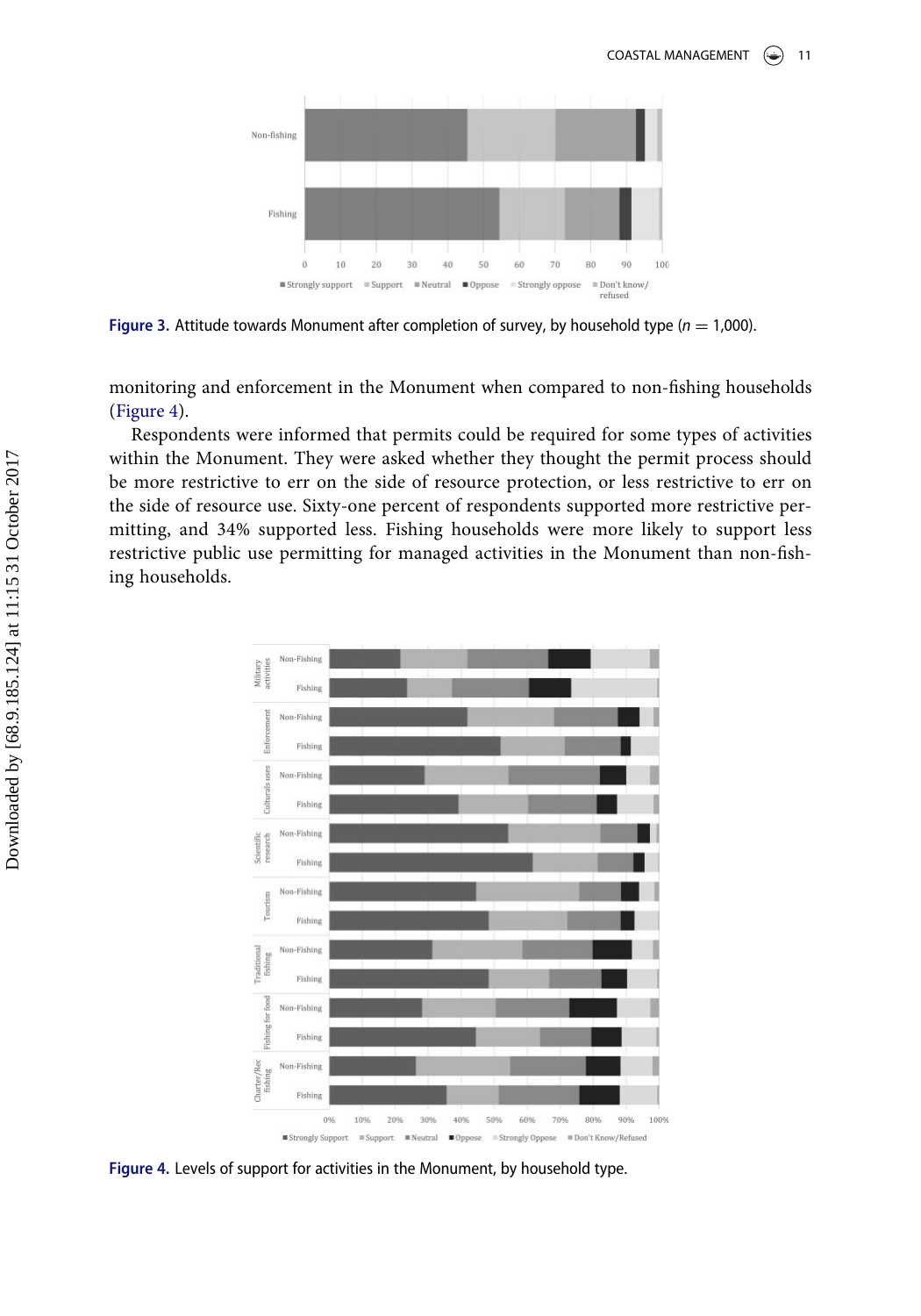<span id="page-11-0"></span>

Figure 3. Attitude towards Monument after completion of survey, by household type ( $n = 1,000$ ).

monitoring and enforcement in the Monument when compared to non-fishing households [\(Figure 4](#page-11-1)).

Respondents were informed that permits could be required for some types of activities within the Monument. They were asked whether they thought the permit process should be more restrictive to err on the side of resource protection, or less restrictive to err on the side of resource use. Sixty-one percent of respondents supported more restrictive permitting, and 34% supported less. Fishing households were more likely to support less restrictive public use permitting for managed activities in the Monument than non-fishing households.

<span id="page-11-1"></span>

Figure 4. Levels of support for activities in the Monument, by household type.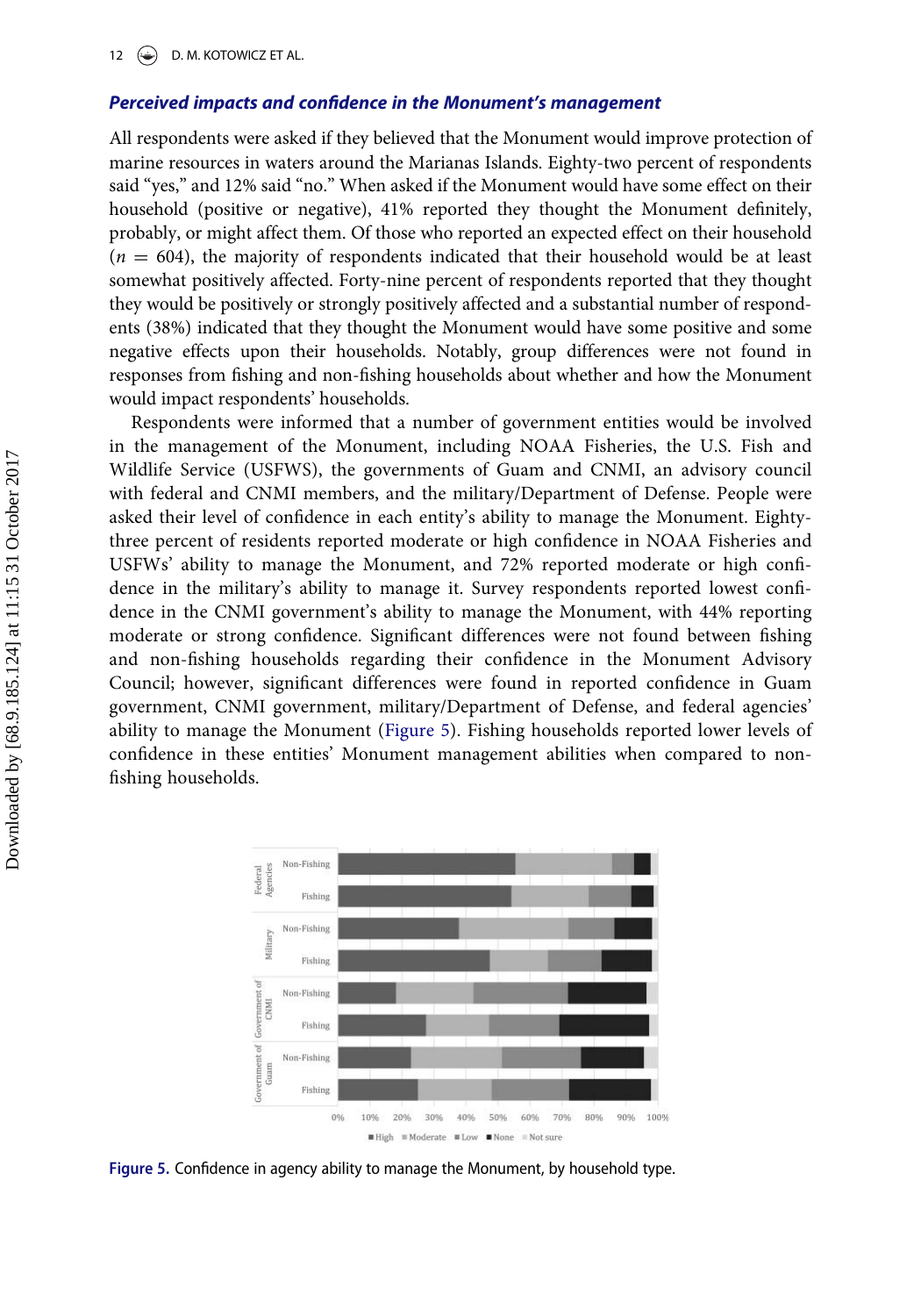# Perceived impacts and confidence in the Monument's management

All respondents were asked if they believed that the Monument would improve protection of marine resources in waters around the Marianas Islands. Eighty-two percent of respondents said "yes," and 12% said "no." When asked if the Monument would have some effect on their household (positive or negative), 41% reported they thought the Monument definitely, probably, or might affect them. Of those who reported an expected effect on their household  $(n = 604)$ , the majority of respondents indicated that their household would be at least somewhat positively affected. Forty-nine percent of respondents reported that they thought they would be positively or strongly positively affected and a substantial number of respondents (38%) indicated that they thought the Monument would have some positive and some negative effects upon their households. Notably, group differences were not found in responses from fishing and non-fishing households about whether and how the Monument would impact respondents' households.

Respondents were informed that a number of government entities would be involved in the management of the Monument, including NOAA Fisheries, the U.S. Fish and Wildlife Service (USFWS), the governments of Guam and CNMI, an advisory council with federal and CNMI members, and the military/Department of Defense. People were asked their level of confidence in each entity's ability to manage the Monument. Eightythree percent of residents reported moderate or high confidence in NOAA Fisheries and USFWs' ability to manage the Monument, and 72% reported moderate or high confidence in the military's ability to manage it. Survey respondents reported lowest confidence in the CNMI government's ability to manage the Monument, with 44% reporting moderate or strong confidence. Significant differences were not found between fishing and non-fishing households regarding their confidence in the Monument Advisory Council; however, significant differences were found in reported confidence in Guam government, CNMI government, military/Department of Defense, and federal agencies' ability to manage the Monument ([Figure 5](#page-12-0)). Fishing households reported lower levels of confidence in these entities' Monument management abilities when compared to nonfishing households.

<span id="page-12-0"></span>

Figure 5. Confidence in agency ability to manage the Monument, by household type.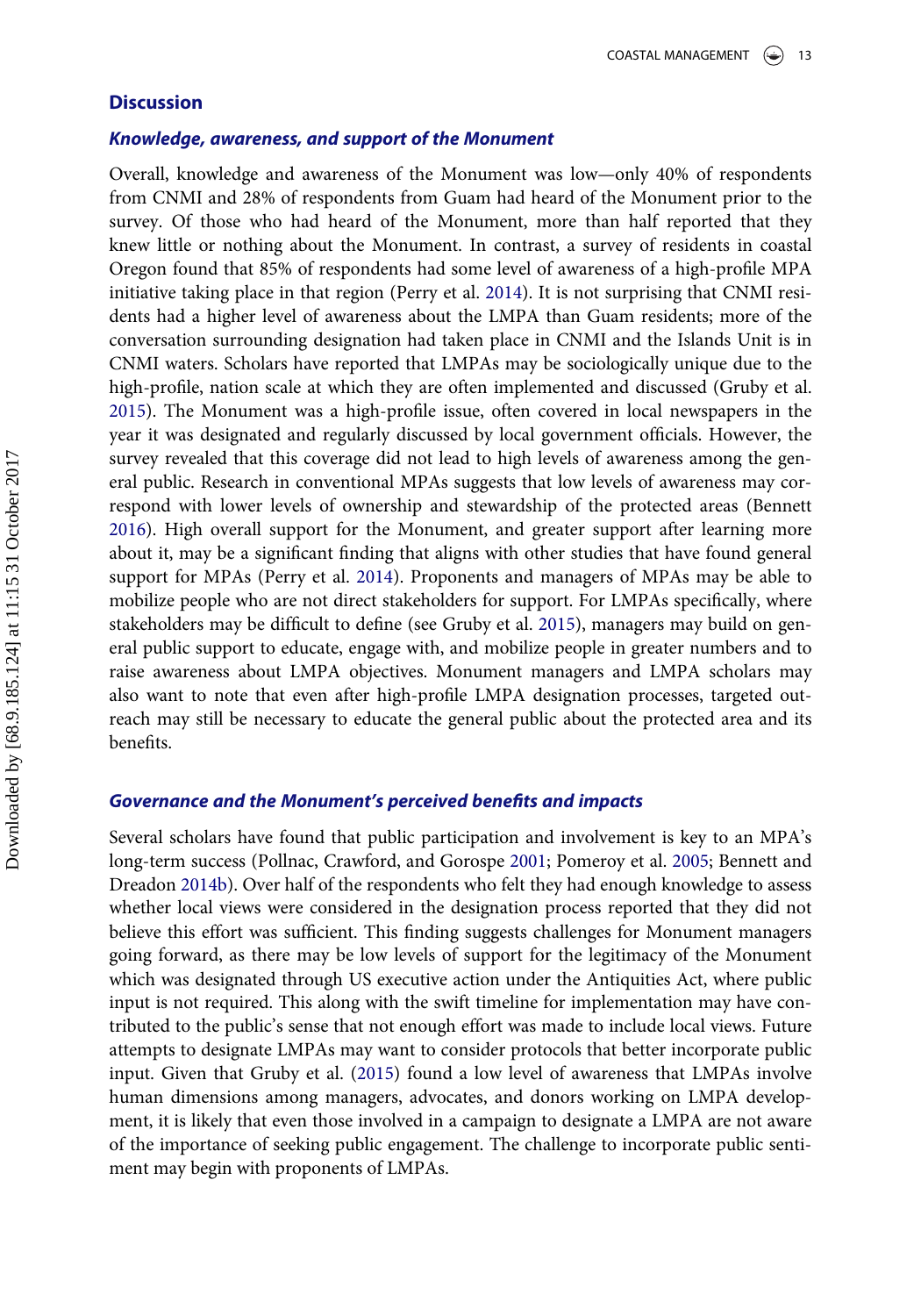# **Discussion**

# Knowledge, awareness, and support of the Monument

Overall, knowledge and awareness of the Monument was low—only 40% of respondents from CNMI and 28% of respondents from Guam had heard of the Monument prior to the survey. Of those who had heard of the Monument, more than half reported that they knew little or nothing about the Monument. In contrast, a survey of residents in coastal Oregon found that 85% of respondents had some level of awareness of a high-profile MPA initiative taking place in that region (Perry et al. [2014\)](#page-18-8). It is not surprising that CNMI residents had a higher level of awareness about the LMPA than Guam residents; more of the conversation surrounding designation had taken place in CNMI and the Islands Unit is in CNMI waters. Scholars have reported that LMPAs may be sociologically unique due to the high-profile, nation scale at which they are often implemented and discussed (Gruby et al. [2015\)](#page-17-2). The Monument was a high-profile issue, often covered in local newspapers in the year it was designated and regularly discussed by local government officials. However, the survey revealed that this coverage did not lead to high levels of awareness among the general public. Research in conventional MPAs suggests that low levels of awareness may correspond with lower levels of ownership and stewardship of the protected areas (Bennett [2016\)](#page-16-0). High overall support for the Monument, and greater support after learning more about it, may be a significant finding that aligns with other studies that have found general support for MPAs (Perry et al. [2014](#page-18-8)). Proponents and managers of MPAs may be able to mobilize people who are not direct stakeholders for support. For LMPAs specifically, where stakeholders may be difficult to define (see Gruby et al. [2015\)](#page-17-2), managers may build on general public support to educate, engage with, and mobilize people in greater numbers and to raise awareness about LMPA objectives. Monument managers and LMPA scholars may also want to note that even after high-profile LMPA designation processes, targeted outreach may still be necessary to educate the general public about the protected area and its benefits.

# Governance and the Monument's perceived benefits and impacts

Several scholars have found that public participation and involvement is key to an MPA's long-term success (Pollnac, Crawford, and Gorospe [2001](#page-18-10); Pomeroy et al. [2005;](#page-18-9) Bennett and Dreadon [2014b](#page-17-16)). Over half of the respondents who felt they had enough knowledge to assess whether local views were considered in the designation process reported that they did not believe this effort was sufficient. This finding suggests challenges for Monument managers going forward, as there may be low levels of support for the legitimacy of the Monument which was designated through US executive action under the Antiquities Act, where public input is not required. This along with the swift timeline for implementation may have contributed to the public's sense that not enough effort was made to include local views. Future attempts to designate LMPAs may want to consider protocols that better incorporate public input. Given that Gruby et al. [\(2015](#page-17-2)) found a low level of awareness that LMPAs involve human dimensions among managers, advocates, and donors working on LMPA development, it is likely that even those involved in a campaign to designate a LMPA are not aware of the importance of seeking public engagement. The challenge to incorporate public sentiment may begin with proponents of LMPAs.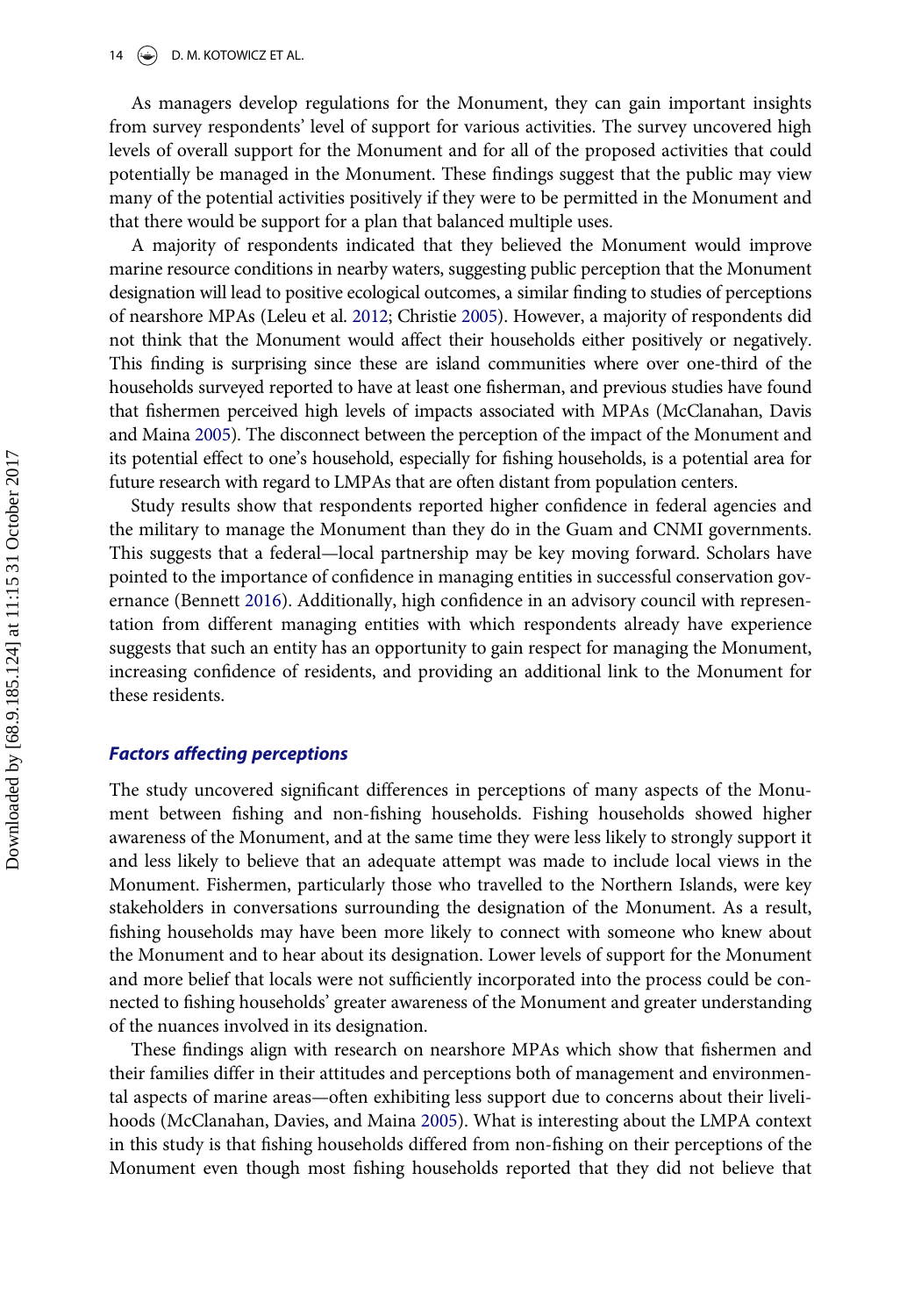As managers develop regulations for the Monument, they can gain important insights from survey respondents' level of support for various activities. The survey uncovered high levels of overall support for the Monument and for all of the proposed activities that could potentially be managed in the Monument. These findings suggest that the public may view many of the potential activities positively if they were to be permitted in the Monument and that there would be support for a plan that balanced multiple uses.

A majority of respondents indicated that they believed the Monument would improve marine resource conditions in nearby waters, suggesting public perception that the Monument designation will lead to positive ecological outcomes, a similar finding to studies of perceptions of nearshore MPAs (Leleu et al. [2012](#page-17-9); Christie [2005](#page-17-8)). However, a majority of respondents did not think that the Monument would affect their households either positively or negatively. This finding is surprising since these are island communities where over one-third of the households surveyed reported to have at least one fisherman, and previous studies have found that fishermen perceived high levels of impacts associated with MPAs (McClanahan, Davis and Maina [2005](#page-18-6)). The disconnect between the perception of the impact of the Monument and its potential effect to one's household, especially for fishing households, is a potential area for future research with regard to LMPAs that are often distant from population centers.

Study results show that respondents reported higher confidence in federal agencies and the military to manage the Monument than they do in the Guam and CNMI governments. This suggests that a federal—local partnership may be key moving forward. Scholars have pointed to the importance of confidence in managing entities in successful conservation governance (Bennett [2016](#page-16-0)). Additionally, high confidence in an advisory council with representation from different managing entities with which respondents already have experience suggests that such an entity has an opportunity to gain respect for managing the Monument, increasing confidence of residents, and providing an additional link to the Monument for these residents.

# Factors affecting perceptions

The study uncovered significant differences in perceptions of many aspects of the Monument between fishing and non-fishing households. Fishing households showed higher awareness of the Monument, and at the same time they were less likely to strongly support it and less likely to believe that an adequate attempt was made to include local views in the Monument. Fishermen, particularly those who travelled to the Northern Islands, were key stakeholders in conversations surrounding the designation of the Monument. As a result, fishing households may have been more likely to connect with someone who knew about the Monument and to hear about its designation. Lower levels of support for the Monument and more belief that locals were not sufficiently incorporated into the process could be connected to fishing households' greater awareness of the Monument and greater understanding of the nuances involved in its designation.

These findings align with research on nearshore MPAs which show that fishermen and their families differ in their attitudes and perceptions both of management and environmental aspects of marine areas—often exhibiting less support due to concerns about their livelihoods (McClanahan, Davies, and Maina [2005](#page-18-6)). What is interesting about the LMPA context in this study is that fishing households differed from non-fishing on their perceptions of the Monument even though most fishing households reported that they did not believe that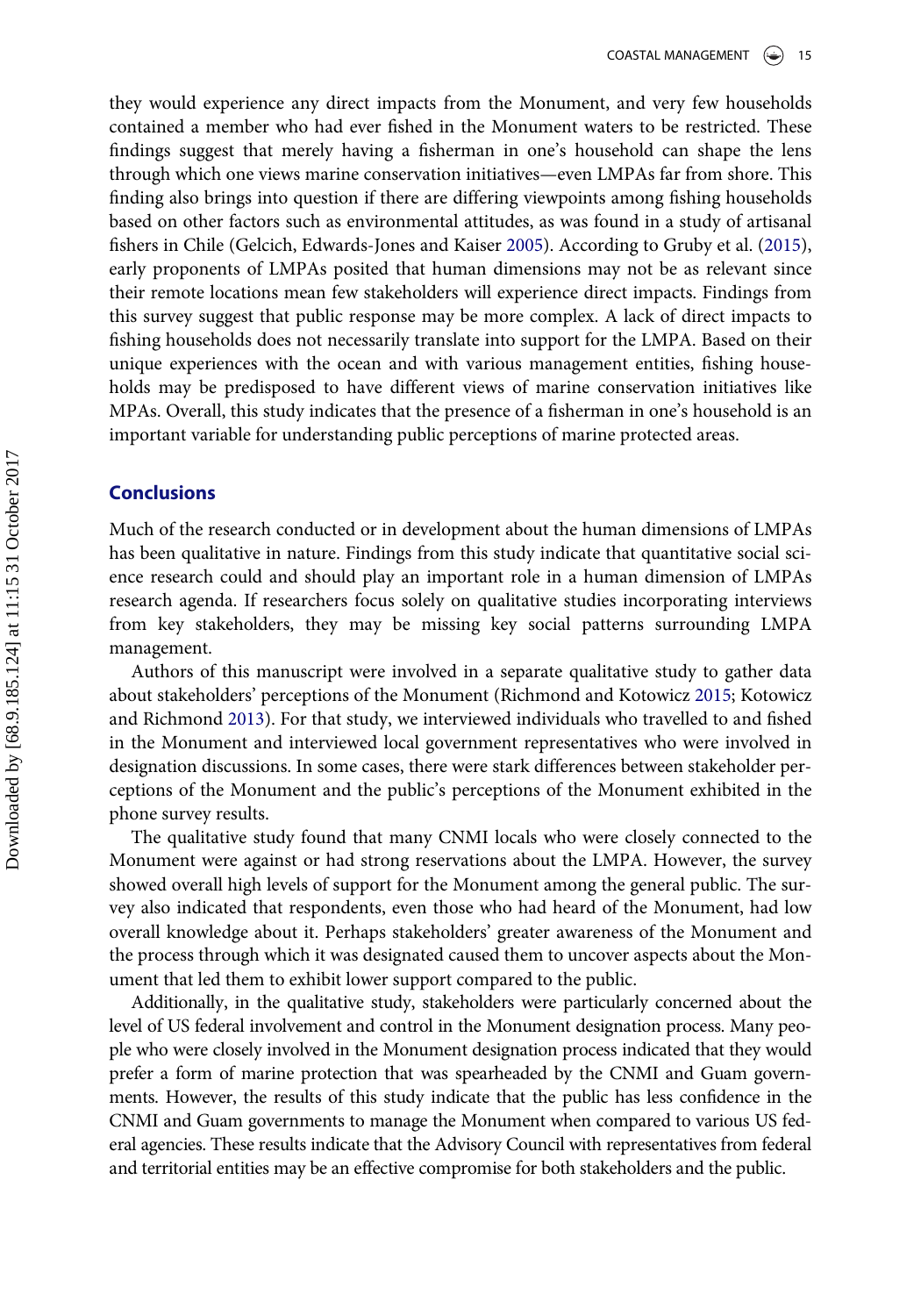they would experience any direct impacts from the Monument, and very few households contained a member who had ever fished in the Monument waters to be restricted. These findings suggest that merely having a fisherman in one's household can shape the lens through which one views marine conservation initiatives—even LMPAs far from shore. This finding also brings into question if there are differing viewpoints among fishing households based on other factors such as environmental attitudes, as was found in a study of artisanal fishers in Chile (Gelcich, Edwards-Jones and Kaiser [2005](#page-17-14)). According to Gruby et al. [\(2015](#page-17-2)), early proponents of LMPAs posited that human dimensions may not be as relevant since their remote locations mean few stakeholders will experience direct impacts. Findings from this survey suggest that public response may be more complex. A lack of direct impacts to fishing households does not necessarily translate into support for the LMPA. Based on their unique experiences with the ocean and with various management entities, fishing households may be predisposed to have different views of marine conservation initiatives like MPAs. Overall, this study indicates that the presence of a fisherman in one's household is an important variable for understanding public perceptions of marine protected areas.

# **Conclusions**

Much of the research conducted or in development about the human dimensions of LMPAs has been qualitative in nature. Findings from this study indicate that quantitative social science research could and should play an important role in a human dimension of LMPAs research agenda. If researchers focus solely on qualitative studies incorporating interviews from key stakeholders, they may be missing key social patterns surrounding LMPA management.

Authors of this manuscript were involved in a separate qualitative study to gather data about stakeholders' perceptions of the Monument (Richmond and Kotowicz [2015](#page-18-2); Kotowicz and Richmond [2013\)](#page-17-18). For that study, we interviewed individuals who travelled to and fished in the Monument and interviewed local government representatives who were involved in designation discussions. In some cases, there were stark differences between stakeholder perceptions of the Monument and the public's perceptions of the Monument exhibited in the phone survey results.

The qualitative study found that many CNMI locals who were closely connected to the Monument were against or had strong reservations about the LMPA. However, the survey showed overall high levels of support for the Monument among the general public. The survey also indicated that respondents, even those who had heard of the Monument, had low overall knowledge about it. Perhaps stakeholders' greater awareness of the Monument and the process through which it was designated caused them to uncover aspects about the Monument that led them to exhibit lower support compared to the public.

Additionally, in the qualitative study, stakeholders were particularly concerned about the level of US federal involvement and control in the Monument designation process. Many people who were closely involved in the Monument designation process indicated that they would prefer a form of marine protection that was spearheaded by the CNMI and Guam governments. However, the results of this study indicate that the public has less confidence in the CNMI and Guam governments to manage the Monument when compared to various US federal agencies. These results indicate that the Advisory Council with representatives from federal and territorial entities may be an effective compromise for both stakeholders and the public.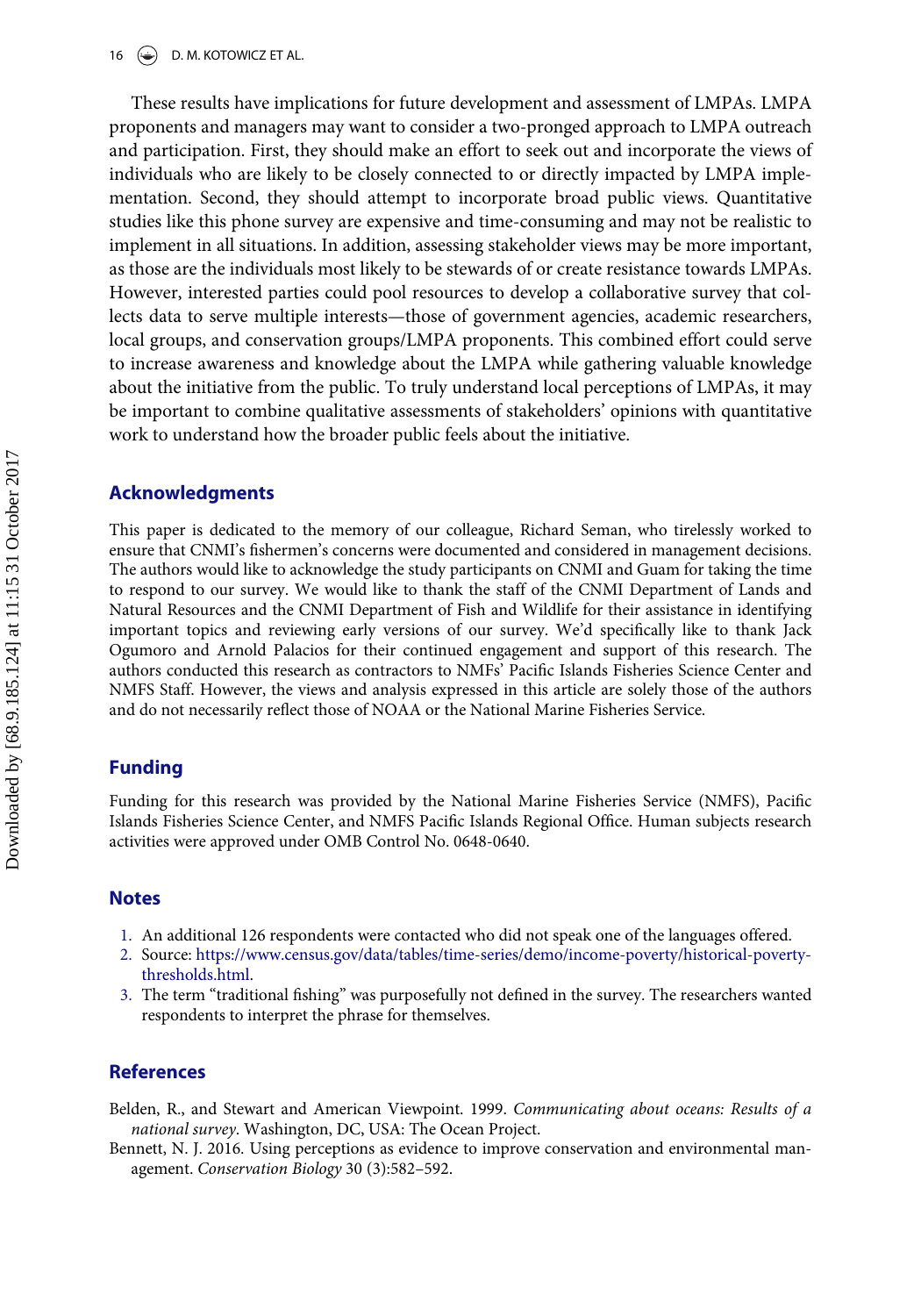16  $\left(\bigstar\right)$  D. M. KOTOWICZ ET AL.

These results have implications for future development and assessment of LMPAs. LMPA proponents and managers may want to consider a two-pronged approach to LMPA outreach and participation. First, they should make an effort to seek out and incorporate the views of individuals who are likely to be closely connected to or directly impacted by LMPA implementation. Second, they should attempt to incorporate broad public views. Quantitative studies like this phone survey are expensive and time-consuming and may not be realistic to implement in all situations. In addition, assessing stakeholder views may be more important, as those are the individuals most likely to be stewards of or create resistance towards LMPAs. However, interested parties could pool resources to develop a collaborative survey that collects data to serve multiple interests—those of government agencies, academic researchers, local groups, and conservation groups/LMPA proponents. This combined effort could serve to increase awareness and knowledge about the LMPA while gathering valuable knowledge about the initiative from the public. To truly understand local perceptions of LMPAs, it may be important to combine qualitative assessments of stakeholders' opinions with quantitative work to understand how the broader public feels about the initiative.

# Acknowledgments

This paper is dedicated to the memory of our colleague, Richard Seman, who tirelessly worked to ensure that CNMI's fishermen's concerns were documented and considered in management decisions. The authors would like to acknowledge the study participants on CNMI and Guam for taking the time to respond to our survey. We would like to thank the staff of the CNMI Department of Lands and Natural Resources and the CNMI Department of Fish and Wildlife for their assistance in identifying important topics and reviewing early versions of our survey. We'd specifically like to thank Jack Ogumoro and Arnold Palacios for their continued engagement and support of this research. The authors conducted this research as contractors to NMFs' Pacific Islands Fisheries Science Center and NMFS Staff. However, the views and analysis expressed in this article are solely those of the authors and do not necessarily reflect those of NOAA or the National Marine Fisheries Service.

# Funding

Funding for this research was provided by the National Marine Fisheries Service (NMFS), Pacific Islands Fisheries Science Center, and NMFS Pacific Islands Regional Office. Human subjects research activities were approved under OMB Control No. 0648-0640.

# <span id="page-16-2"></span>Notes

- 1. An additional 126 respondents were contacted who did not speak one of the languages offered.
- <span id="page-16-3"></span>2. Source: [https://www.census.gov/data/tables/time-series/demo/income-poverty/historical-poverty](https://www.census.gov/data/tables/time-series/demo/income-poverty/historical-poverty-thresholds.html)[thresholds.html.](https://www.census.gov/data/tables/time-series/demo/income-poverty/historical-poverty-thresholds.html)
- <span id="page-16-4"></span>3. The term "traditional fishing" was purposefully not defined in the survey. The researchers wanted respondents to interpret the phrase for themselves.

# References

<span id="page-16-1"></span>Belden, R., and Stewart and American Viewpoint. 1999. Communicating about oceans: Results of a national survey. Washington, DC, USA: The Ocean Project.

<span id="page-16-0"></span>Bennett, N. J. 2016. Using perceptions as evidence to improve conservation and environmental management. Conservation Biology 30 (3):582–592.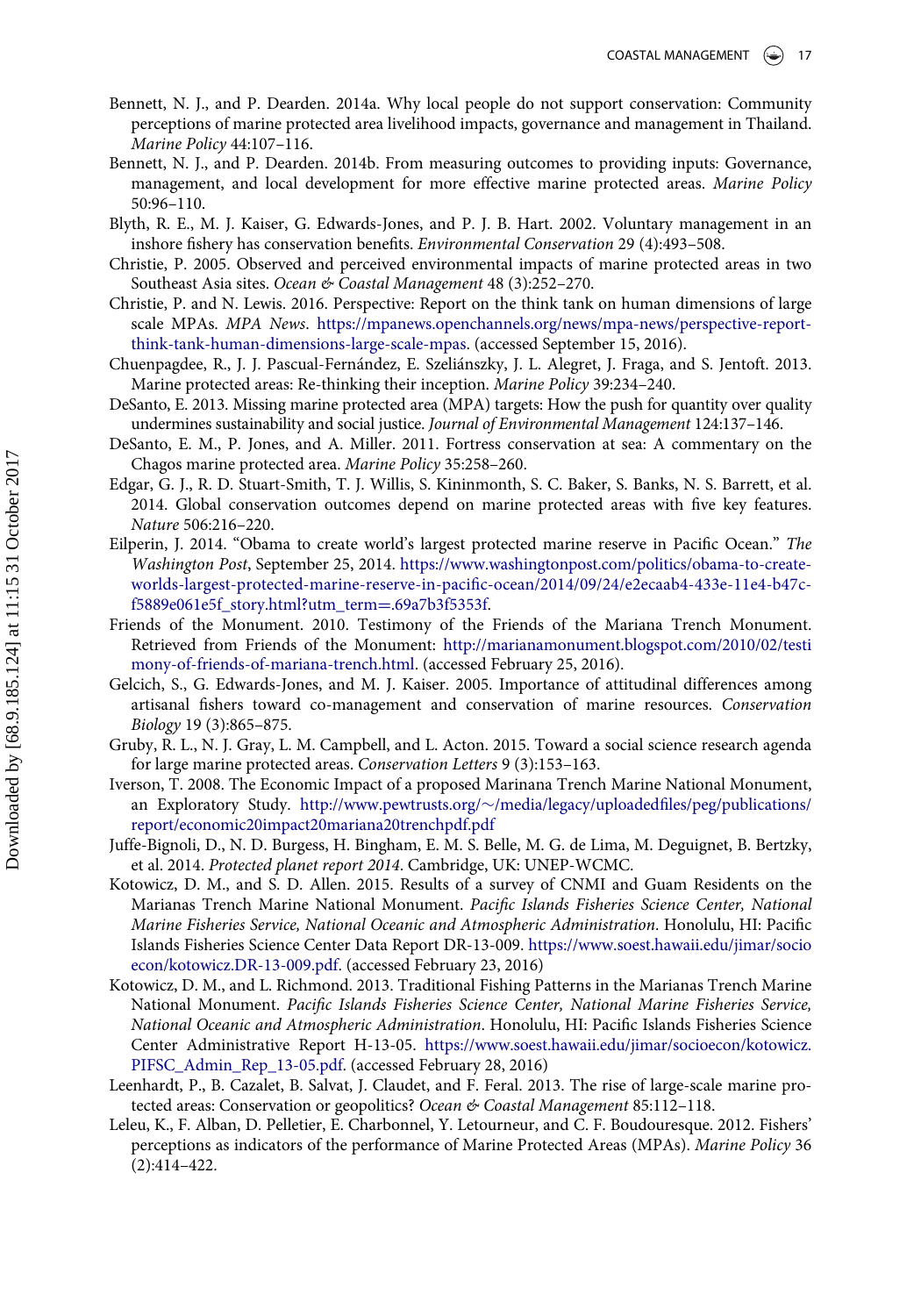- <span id="page-17-10"></span>Bennett, N. J., and P. Dearden. 2014a. Why local people do not support conservation: Community perceptions of marine protected area livelihood impacts, governance and management in Thailand. Marine Policy 44:107–116.
- <span id="page-17-16"></span>Bennett, N. J., and P. Dearden. 2014b. From measuring outcomes to providing inputs: Governance, management, and local development for more effective marine protected areas. Marine Policy 50:96–110.
- <span id="page-17-11"></span>Blyth, R. E., M. J. Kaiser, G. Edwards-Jones, and P. J. B. Hart. 2002. Voluntary management in an inshore fishery has conservation benefits. Environmental Conservation 29 (4):493–508.
- <span id="page-17-8"></span>Christie, P. 2005. Observed and perceived environmental impacts of marine protected areas in two Southeast Asia sites. Ocean & Coastal Management 48 (3):252–270.
- <span id="page-17-5"></span>Christie, P. and N. Lewis. 2016. Perspective: Report on the think tank on human dimensions of large scale MPAs. MPA News. [https://mpanews.openchannels.org/news/mpa-news/perspective-report](https://mpanews.openchannels.org/news/mpa-news/perspective-report-think-tank-human-dimensions-large-scale-mpas)[think-tank-human-dimensions-large-scale-mpas](https://mpanews.openchannels.org/news/mpa-news/perspective-report-think-tank-human-dimensions-large-scale-mpas). (accessed September 15, 2016).
- <span id="page-17-15"></span>Chuenpagdee, R., J. J. Pascual-Fernandez, E. Szelianszky, J. L. Alegret, J. Fraga, and S. Jentoft. 2013. Marine protected areas: Re-thinking their inception. Marine Policy 39:234–240.
- <span id="page-17-6"></span>DeSanto, E. 2013. Missing marine protected area (MPA) targets: How the push for quantity over quality undermines sustainability and social justice. Journal of Environmental Management 124:137-146.
- <span id="page-17-7"></span>DeSanto, E. M., P. Jones, and A. Miller. 2011. Fortress conservation at sea: A commentary on the Chagos marine protected area. Marine Policy 35:258–260.
- <span id="page-17-3"></span>Edgar, G. J., R. D. Stuart-Smith, T. J. Willis, S. Kininmonth, S. C. Baker, S. Banks, N. S. Barrett, et al. 2014. Global conservation outcomes depend on marine protected areas with five key features. Nature 506:216–220.
- <span id="page-17-1"></span>Eilperin, J. 2014. "Obama to create world's largest protected marine reserve in Pacific Ocean." The Washington Post, September 25, 2014. [https://www.washingtonpost.com/politics/obama-to-create](https://www.washingtonpost.com/politics/obama-to-create-worlds-largest-protected-marine-reserve-in-pacific-ocean/2014/09/24/e2ecaab4-433e-11e4-b47c-f5889e061e5f_story.html?utm_term=.69a7b3f5353f)[worlds-largest-protected-marine-reserve-in-paci](https://www.washingtonpost.com/politics/obama-to-create-worlds-largest-protected-marine-reserve-in-pacific-ocean/2014/09/24/e2ecaab4-433e-11e4-b47c-f5889e061e5f_story.html?utm_term=.69a7b3f5353f)fic-ocean/2014/09/24/e2ecaab4-433e-11e4-b47c[f5889e061e5f\\_story.html?utm\\_term](https://www.washingtonpost.com/politics/obama-to-create-worlds-largest-protected-marine-reserve-in-pacific-ocean/2014/09/24/e2ecaab4-433e-11e4-b47c-f5889e061e5f_story.html?utm_term=.69a7b3f5353f)=[.69a7b3f5353f.](https://www.washingtonpost.com/politics/obama-to-create-worlds-largest-protected-marine-reserve-in-pacific-ocean/2014/09/24/e2ecaab4-433e-11e4-b47c-f5889e061e5f_story.html?utm_term=.69a7b3f5353f)
- <span id="page-17-13"></span>Friends of the Monument. 2010. Testimony of the Friends of the Mariana Trench Monument. Retrieved from Friends of the Monument: [http://marianamonument.blogspot.com/2010/02/testi](http://marianamonument.blogspot.com/2010/02/testimony-of-friends-of-mariana-trench.html) [mony-of-friends-of-mariana-trench.html.](http://marianamonument.blogspot.com/2010/02/testimony-of-friends-of-mariana-trench.html) (accessed February 25, 2016).
- <span id="page-17-14"></span>Gelcich, S., G. Edwards-Jones, and M. J. Kaiser. 2005. Importance of attitudinal differences among artisanal fishers toward co-management and conservation of marine resources. Conservation Biology 19 (3):865–875.
- <span id="page-17-2"></span>Gruby, R. L., N. J. Gray, L. M. Campbell, and L. Acton. 2015. Toward a social science research agenda for large marine protected areas. Conservation Letters 9 (3):153–163.
- <span id="page-17-12"></span>Iverson, T. 2008. The Economic Impact of a proposed Marinana Trench Marine National Monument, an Exploratory Study. [http://www.pewtrusts.org/](http://www.pewtrusts.org/∼/media/legacy/uploadedfiles/peg/publications/report/economic20impact20mariana20trenchpdf.pdf)~[/media/legacy/uploaded](http://www.pewtrusts.org/∼/media/legacy/uploadedfiles/peg/publications/report/economic20impact20mariana20trenchpdf.pdf)files/peg/publications/ [report/economic20impact20mariana20trenchpdf.pdf](http://www.pewtrusts.org/∼/media/legacy/uploadedfiles/peg/publications/report/economic20impact20mariana20trenchpdf.pdf)
- <span id="page-17-4"></span>Juffe-Bignoli, D., N. D. Burgess, H. Bingham, E. M. S. Belle, M. G. de Lima, M. Deguignet, B. Bertzky, et al. 2014. Protected planet report 2014. Cambridge, UK: UNEP-WCMC.
- <span id="page-17-17"></span>Kotowicz, D. M., and S. D. Allen. 2015. Results of a survey of CNMI and Guam Residents on the Marianas Trench Marine National Monument. Pacific Islands Fisheries Science Center, National Marine Fisheries Service, National Oceanic and Atmospheric Administration. Honolulu, HI: Pacific Islands Fisheries Science Center Data Report DR-13-009. [https://www.soest.hawaii.edu/jimar/socio](https://www.soest.hawaii.edu/jimar/socioecon/kotowicz.DR-13-009.pdf) [econ/kotowicz.DR-13-009.pdf](https://www.soest.hawaii.edu/jimar/socioecon/kotowicz.DR-13-009.pdf). (accessed February 23, 2016)
- <span id="page-17-18"></span>Kotowicz, D. M., and L. Richmond. 2013. Traditional Fishing Patterns in the Marianas Trench Marine National Monument. Pacific Islands Fisheries Science Center, National Marine Fisheries Service, National Oceanic and Atmospheric Administration. Honolulu, HI: Pacific Islands Fisheries Science Center Administrative Report H-13-05. [https://www.soest.hawaii.edu/jimar/socioecon/kotowicz.](https://www.soest.hawaii.edu/jimar/socioecon/kotowicz.PIFSC_Admin_Rep_13-05.pdf) [PIFSC\\_Admin\\_Rep\\_13-05.pdf.](https://www.soest.hawaii.edu/jimar/socioecon/kotowicz.PIFSC_Admin_Rep_13-05.pdf) (accessed February 28, 2016)
- <span id="page-17-0"></span>Leenhardt, P., B. Cazalet, B. Salvat, J. Claudet, and F. Feral. 2013. The rise of large-scale marine protected areas: Conservation or geopolitics? Ocean & Coastal Management 85:112-118.
- <span id="page-17-9"></span>Leleu, K., F. Alban, D. Pelletier, E. Charbonnel, Y. Letourneur, and C. F. Boudouresque. 2012. Fishers' perceptions as indicators of the performance of Marine Protected Areas (MPAs). Marine Policy 36 (2):414–422.